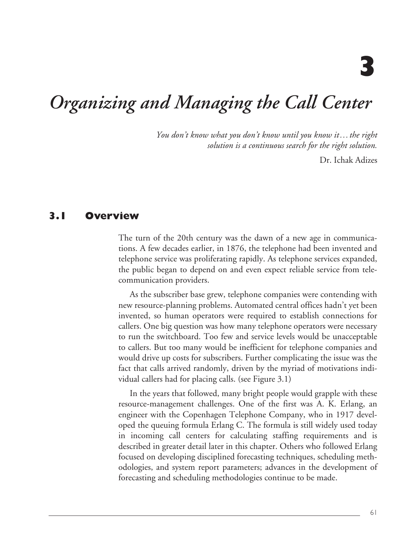# *Organizing and Managing the Call Center*

*You don't know what you don't know until you know it…the right solution is a continuous search for the right solution.*

Dr. Ichak Adizes

### **3.1 Overview**

The turn of the 20th century was the dawn of a new age in communications. A few decades earlier, in 1876, the telephone had been invented and telephone service was proliferating rapidly. As telephone services expanded, the public began to depend on and even expect reliable service from telecommunication providers.

As the subscriber base grew, telephone companies were contending with new resource-planning problems. Automated central offices hadn't yet been invented, so human operators were required to establish connections for callers. One big question was how many telephone operators were necessary to run the switchboard. Too few and service levels would be unacceptable to callers. But too many would be inefficient for telephone companies and would drive up costs for subscribers. Further complicating the issue was the fact that calls arrived randomly, driven by the myriad of motivations individual callers had for placing calls. (see Figure 3.1)

In the years that followed, many bright people would grapple with these resource-management challenges. One of the first was A. K. Erlang, an engineer with the Copenhagen Telephone Company, who in 1917 developed the queuing formula Erlang C. The formula is still widely used today in incoming call centers for calculating staffing requirements and is described in greater detail later in this chapter. Others who followed Erlang focused on developing disciplined forecasting techniques, scheduling methodologies, and system report parameters; advances in the development of forecasting and scheduling methodologies continue to be made.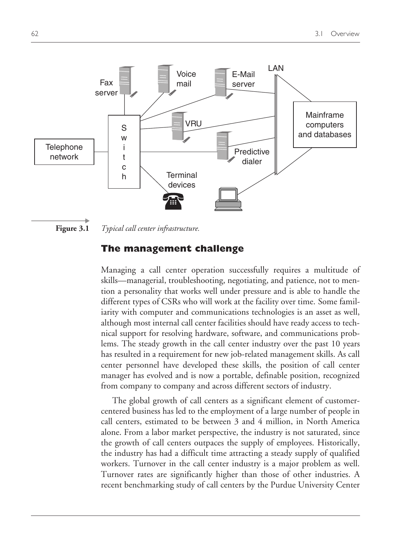

**Figure 3.1** *Typical call center infrastructure.*

### **The management challenge**

Managing a call center operation successfully requires a multitude of skills—managerial, troubleshooting, negotiating, and patience, not to mention a personality that works well under pressure and is able to handle the different types of CSRs who will work at the facility over time. Some familiarity with computer and communications technologies is an asset as well, although most internal call center facilities should have ready access to technical support for resolving hardware, software, and communications problems. The steady growth in the call center industry over the past 10 years has resulted in a requirement for new job-related management skills. As call center personnel have developed these skills, the position of call center manager has evolved and is now a portable, definable position, recognized from company to company and across different sectors of industry.

The global growth of call centers as a significant element of customercentered business has led to the employment of a large number of people in call centers, estimated to be between 3 and 4 million, in North America alone. From a labor market perspective, the industry is not saturated, since the growth of call centers outpaces the supply of employees. Historically, the industry has had a difficult time attracting a steady supply of qualified workers. Turnover in the call center industry is a major problem as well. Turnover rates are significantly higher than those of other industries. A recent benchmarking study of call centers by the Purdue University Center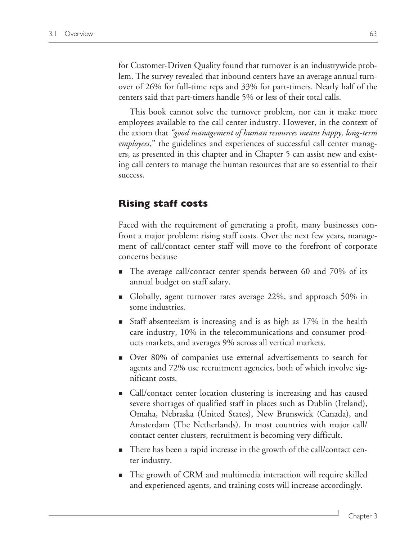for Customer-Driven Quality found that turnover is an industrywide problem. The survey revealed that inbound centers have an average annual turnover of 26% for full-time reps and 33% for part-timers. Nearly half of the centers said that part-timers handle 5% or less of their total calls.

This book cannot solve the turnover problem, nor can it make more employees available to the call center industry. However, in the context of the axiom that *"good management of human resources means happy, long-term employees*," the guidelines and experiences of successful call center managers, as presented in this chapter and in Chapter 5 can assist new and existing call centers to manage the human resources that are so essential to their success.

### **Rising staff costs**

Faced with the requirement of generating a profit, many businesses confront a major problem: rising staff costs. Over the next few years, management of call/contact center staff will move to the forefront of corporate concerns because

- - The average call/contact center spends between 60 and 70% of its annual budget on staff salary.
- Globally, agent turnover rates average 22%, and approach 50% in some industries.
- Staff absenteeism is increasing and is as high as 17% in the health care industry, 10% in the telecommunications and consumer products markets, and averages 9% across all vertical markets.
- Over 80% of companies use external advertisements to search for agents and 72% use recruitment agencies, both of which involve significant costs.
- Call/contact center location clustering is increasing and has caused severe shortages of qualified staff in places such as Dublin (Ireland), Omaha, Nebraska (United States), New Brunswick (Canada), and Amsterdam (The Netherlands). In most countries with major call/ contact center clusters, recruitment is becoming very difficult.
- There has been a rapid increase in the growth of the call/contact center industry.
- - The growth of CRM and multimedia interaction will require skilled and experienced agents, and training costs will increase accordingly.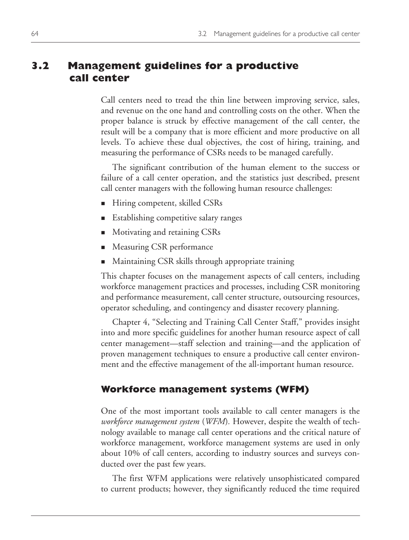# **3.2 Management guidelines for a productive call center**

Call centers need to tread the thin line between improving service, sales, and revenue on the one hand and controlling costs on the other. When the proper balance is struck by effective management of the call center, the result will be a company that is more efficient and more productive on all levels. To achieve these dual objectives, the cost of hiring, training, and measuring the performance of CSRs needs to be managed carefully.

The significant contribution of the human element to the success or failure of a call center operation, and the statistics just described, present call center managers with the following human resource challenges:

- -Hiring competent, skilled CSRs
- -Establishing competitive salary ranges
- -Motivating and retaining CSRs
- -Measuring CSR performance
- -Maintaining CSR skills through appropriate training

This chapter focuses on the management aspects of call centers, including workforce management practices and processes, including CSR monitoring and performance measurement, call center structure, outsourcing resources, operator scheduling, and contingency and disaster recovery planning.

Chapter 4, "Selecting and Training Call Center Staff," provides insight into and more specific guidelines for another human resource aspect of call center management—staff selection and training—and the application of proven management techniques to ensure a productive call center environment and the effective management of the all-important human resource.

#### **Workforce management systems (WFM)**

One of the most important tools available to call center managers is the *workforce management system* (*WFM*)*.* However, despite the wealth of technology available to manage call center operations and the critical nature of workforce management, workforce management systems are used in only about 10% of call centers, according to industry sources and surveys conducted over the past few years.

The first WFM applications were relatively unsophisticated compared to current products; however, they significantly reduced the time required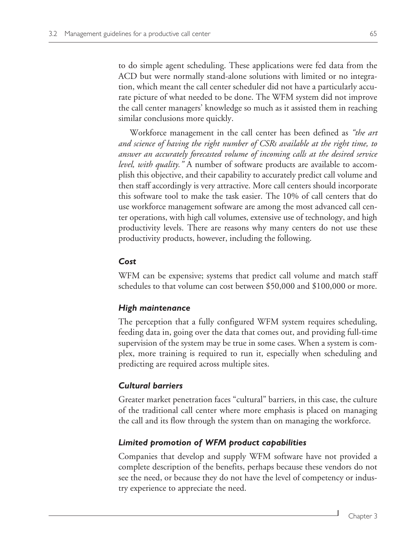to do simple agent scheduling. These applications were fed data from the ACD but were normally stand-alone solutions with limited or no integration, which meant the call center scheduler did not have a particularly accurate picture of what needed to be done. The WFM system did not improve the call center managers' knowledge so much as it assisted them in reaching similar conclusions more quickly.

Workforce management in the call center has been defined as *"the art and science of having the right number of CSRs available at the right time, to answer an accurately forecasted volume of incoming calls at the desired service level, with quality."* A number of software products are available to accomplish this objective, and their capability to accurately predict call volume and then staff accordingly is very attractive. More call centers should incorporate this software tool to make the task easier. The 10% of call centers that do use workforce management software are among the most advanced call center operations, with high call volumes, extensive use of technology, and high productivity levels. There are reasons why many centers do not use these productivity products, however, including the following.

#### *Cost*

WFM can be expensive; systems that predict call volume and match staff schedules to that volume can cost between \$50,000 and \$100,000 or more.

#### *High maintenance*

The perception that a fully configured WFM system requires scheduling, feeding data in, going over the data that comes out, and providing full-time supervision of the system may be true in some cases. When a system is complex, more training is required to run it, especially when scheduling and predicting are required across multiple sites.

#### *Cultural barriers*

Greater market penetration faces "cultural" barriers, in this case, the culture of the traditional call center where more emphasis is placed on managing the call and its flow through the system than on managing the workforce.

#### *Limited promotion of WFM product capabilities*

Companies that develop and supply WFM software have not provided a complete description of the benefits, perhaps because these vendors do not see the need, or because they do not have the level of competency or industry experience to appreciate the need.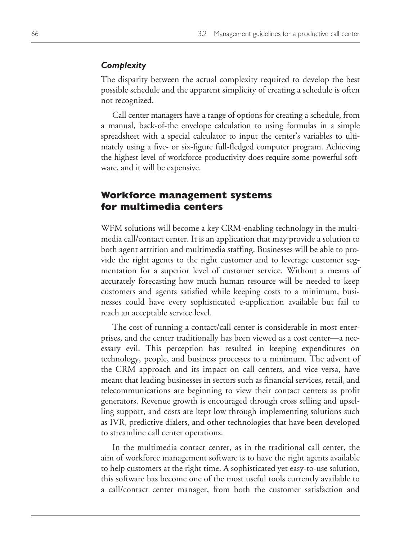#### *Complexity*

The disparity between the actual complexity required to develop the best possible schedule and the apparent simplicity of creating a schedule is often not recognized.

Call center managers have a range of options for creating a schedule, from a manual, back-of-the envelope calculation to using formulas in a simple spreadsheet with a special calculator to input the center's variables to ultimately using a five- or six-figure full-fledged computer program. Achieving the highest level of workforce productivity does require some powerful software, and it will be expensive.

### **Workforce management systems for multimedia centers**

WFM solutions will become a key CRM-enabling technology in the multimedia call/contact center. It is an application that may provide a solution to both agent attrition and multimedia staffing. Businesses will be able to provide the right agents to the right customer and to leverage customer segmentation for a superior level of customer service. Without a means of accurately forecasting how much human resource will be needed to keep customers and agents satisfied while keeping costs to a minimum, businesses could have every sophisticated e-application available but fail to reach an acceptable service level.

The cost of running a contact/call center is considerable in most enterprises, and the center traditionally has been viewed as a cost center—a necessary evil. This perception has resulted in keeping expenditures on technology, people, and business processes to a minimum. The advent of the CRM approach and its impact on call centers, and vice versa, have meant that leading businesses in sectors such as financial services, retail, and telecommunications are beginning to view their contact centers as profit generators. Revenue growth is encouraged through cross selling and upselling support, and costs are kept low through implementing solutions such as IVR, predictive dialers, and other technologies that have been developed to streamline call center operations.

In the multimedia contact center, as in the traditional call center, the aim of workforce management software is to have the right agents available to help customers at the right time. A sophisticated yet easy-to-use solution, this software has become one of the most useful tools currently available to a call/contact center manager, from both the customer satisfaction and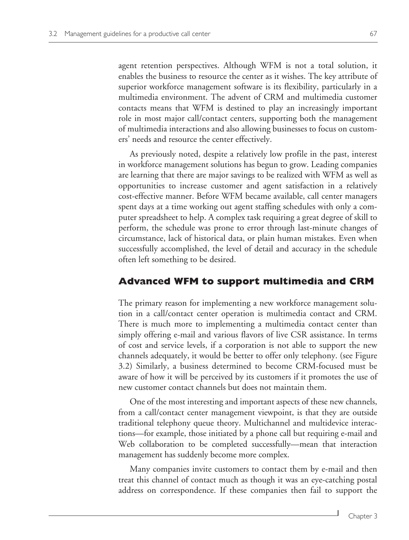agent retention perspectives. Although WFM is not a total solution, it enables the business to resource the center as it wishes. The key attribute of superior workforce management software is its flexibility, particularly in a multimedia environment. The advent of CRM and multimedia customer contacts means that WFM is destined to play an increasingly important role in most major call/contact centers, supporting both the management of multimedia interactions and also allowing businesses to focus on customers' needs and resource the center effectively.

As previously noted, despite a relatively low profile in the past, interest in workforce management solutions has begun to grow. Leading companies are learning that there are major savings to be realized with WFM as well as opportunities to increase customer and agent satisfaction in a relatively cost-effective manner. Before WFM became available, call center managers spent days at a time working out agent staffing schedules with only a computer spreadsheet to help. A complex task requiring a great degree of skill to perform, the schedule was prone to error through last-minute changes of circumstance, lack of historical data, or plain human mistakes. Even when successfully accomplished, the level of detail and accuracy in the schedule often left something to be desired.

### **Advanced WFM to support multimedia and CRM**

The primary reason for implementing a new workforce management solution in a call/contact center operation is multimedia contact and CRM. There is much more to implementing a multimedia contact center than simply offering e-mail and various flavors of live CSR assistance. In terms of cost and service levels, if a corporation is not able to support the new channels adequately, it would be better to offer only telephony. (see Figure 3.2) Similarly, a business determined to become CRM-focused must be aware of how it will be perceived by its customers if it promotes the use of new customer contact channels but does not maintain them.

One of the most interesting and important aspects of these new channels, from a call/contact center management viewpoint, is that they are outside traditional telephony queue theory. Multichannel and multidevice interactions—for example, those initiated by a phone call but requiring e-mail and Web collaboration to be completed successfully—mean that interaction management has suddenly become more complex.

Many companies invite customers to contact them by e-mail and then treat this channel of contact much as though it was an eye-catching postal address on correspondence. If these companies then fail to support the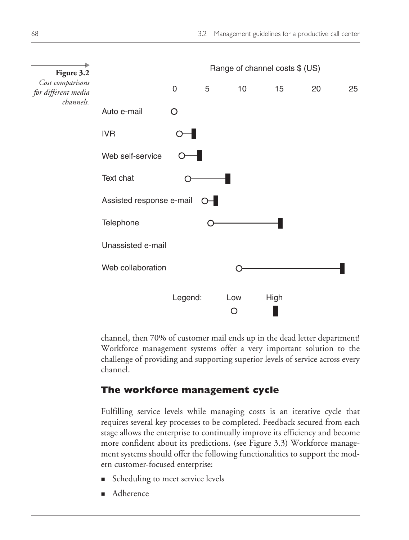

channel, then 70% of customer mail ends up in the dead letter department! Workforce management systems offer a very important solution to the challenge of providing and supporting superior levels of service across every channel.

### **The workforce management cycle**

Fulfilling service levels while managing costs is an iterative cycle that requires several key processes to be completed. Feedback secured from each stage allows the enterprise to continually improve its efficiency and become more confident about its predictions. (see Figure 3.3) Workforce management systems should offer the following functionalities to support the modern customer-focused enterprise:

- -Scheduling to meet service levels
- -Adherence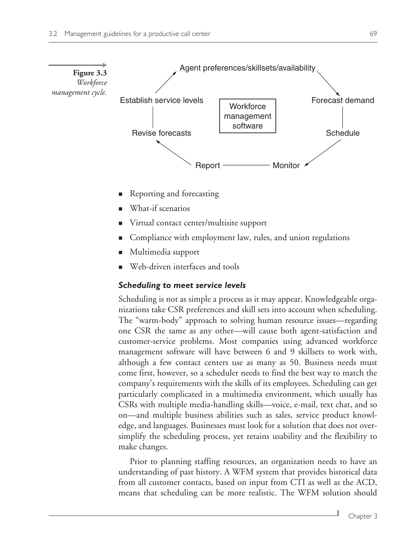

- **Exercise 1** Reporting and forecasting
- -What-if scenarios
- -Virtual contact center/multisite support
- -Compliance with employment law, rules, and union regulations
- -Multimedia support
- -Web-driven interfaces and tools

### *Scheduling to meet service levels*

Scheduling is not as simple a process as it may appear. Knowledgeable organizations take CSR preferences and skill sets into account when scheduling. The "warm-body" approach to solving human resource issues—regarding one CSR the same as any other—will cause both agent-satisfaction and customer-service problems. Most companies using advanced workforce management software will have between 6 and 9 skillsets to work with, although a few contact centers use as many as 50. Business needs must come first, however, so a scheduler needs to find the best way to match the company's requirements with the skills of its employees. Scheduling can get particularly complicated in a multimedia environment, which usually has CSRs with multiple media-handling skills—voice, e-mail, text chat, and so on—and multiple business abilities such as sales, service product knowledge, and languages. Businesses must look for a solution that does not oversimplify the scheduling process, yet retains usability and the flexibility to make changes.

Prior to planning staffing resources, an organization needs to have an understanding of past history. A WFM system that provides historical data from all customer contacts, based on input from CTI as well as the ACD, means that scheduling can be more realistic. The WFM solution should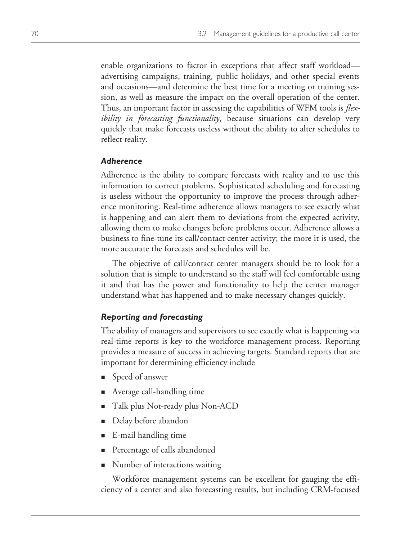enable organizations to factor in exceptions that affect staff workload advertising campaigns, training, public holidays, and other special events and occasions—and determine the best time for a meeting or training session, as well as measure the impact on the overall operation of the center. Thus, an important factor in assessing the capabilities of WFM tools is *flexibility in forecasting functionality*, because situations can develop very quickly that make forecasts useless without the ability to alter schedules to reflect reality.

#### *Adherence*

Adherence is the ability to compare forecasts with reality and to use this information to correct problems. Sophisticated scheduling and forecasting is useless without the opportunity to improve the process through adherence monitoring. Real-time adherence allows managers to see exactly what is happening and can alert them to deviations from the expected activity, allowing them to make changes before problems occur. Adherence allows a business to fine-tune its call/contact center activity; the more it is used, the more accurate the forecasts and schedules will be.

The objective of call/contact center managers should be to look for a solution that is simple to understand so the staff will feel comfortable using it and that has the power and functionality to help the center manager understand what has happened and to make necessary changes quickly.

#### *Reporting and forecasting*

The ability of managers and supervisors to see exactly what is happening via real-time reports is key to the workforce management process. Reporting provides a measure of success in achieving targets. Standard reports that are important for determining efficiency include

- -Speed of answer
- -Average call-handling time
- -Talk plus Not-ready plus Non-ACD
- -Delay before abandon
- -E-mail handling time
- -Percentage of calls abandoned
- -Number of interactions waiting

Workforce management systems can be excellent for gauging the efficiency of a center and also forecasting results, but including CRM-focused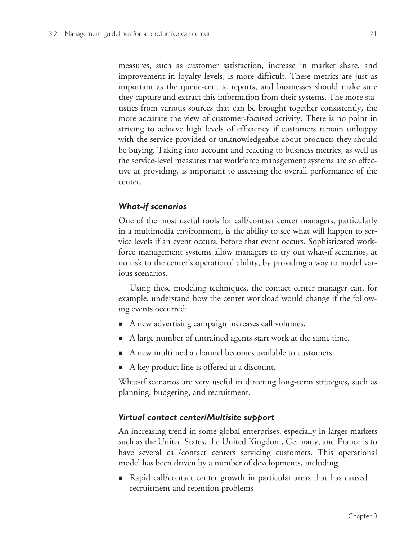measures, such as customer satisfaction, increase in market share, and improvement in loyalty levels, is more difficult. These metrics are just as important as the queue-centric reports, and businesses should make sure they capture and extract this information from their systems. The more statistics from various sources that can be brought together consistently, the more accurate the view of customer-focused activity. There is no point in striving to achieve high levels of efficiency if customers remain unhappy with the service provided or unknowledgeable about products they should be buying. Taking into account and reacting to business metrics, as well as the service-level measures that workforce management systems are so effective at providing, is important to assessing the overall performance of the center.

### *What-if scenarios*

One of the most useful tools for call/contact center managers, particularly in a multimedia environment, is the ability to see what will happen to service levels if an event occurs, before that event occurs. Sophisticated workforce management systems allow managers to try out what-if scenarios, at no risk to the center's operational ability, by providing a way to model various scenarios.

Using these modeling techniques, the contact center manager can, for example, understand how the center workload would change if the following events occurred:

- A new advertising campaign increases call volumes.
- A large number of untrained agents start work at the same time.
- A new multimedia channel becomes available to customers.
- A key product line is offered at a discount.

What-if scenarios are very useful in directing long-term strategies, such as planning, budgeting, and recruitment.

### *Virtual contact center/Multisite support*

An increasing trend in some global enterprises, especially in larger markets such as the United States, the United Kingdom, Germany, and France is to have several call/contact centers servicing customers. This operational model has been driven by a number of developments, including

- Rapid call/contact center growth in particular areas that has caused recruitment and retention problems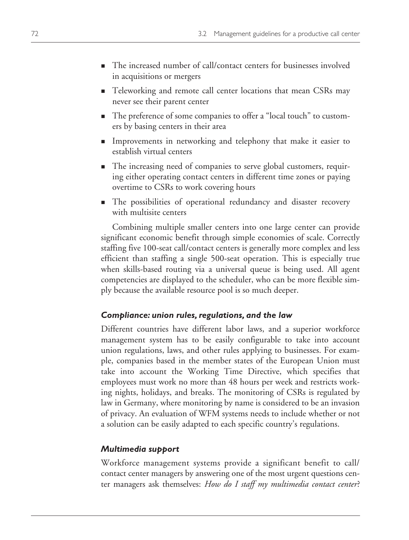- - The increased number of call/contact centers for businesses involved in acquisitions or mergers
- Teleworking and remote call center locations that mean CSRs may never see their parent center
- $\quad \blacksquare$  The preference of some companies to offer a "local touch" to customers by basing centers in their area
- Improvements in networking and telephony that make it easier to establish virtual centers
- - The increasing need of companies to serve global customers, requiring either operating contact centers in different time zones or paying overtime to CSRs to work covering hours
- The possibilities of operational redundancy and disaster recovery with multisite centers

Combining multiple smaller centers into one large center can provide significant economic benefit through simple economies of scale. Correctly staffing five 100-seat call/contact centers is generally more complex and less efficient than staffing a single 500-seat operation. This is especially true when skills-based routing via a universal queue is being used. All agent competencies are displayed to the scheduler, who can be more flexible simply because the available resource pool is so much deeper.

#### *Compliance: union rules, regulations, and the law*

Different countries have different labor laws, and a superior workforce management system has to be easily configurable to take into account union regulations, laws, and other rules applying to businesses. For example, companies based in the member states of the European Union must take into account the Working Time Directive, which specifies that employees must work no more than 48 hours per week and restricts working nights, holidays, and breaks. The monitoring of CSRs is regulated by law in Germany, where monitoring by name is considered to be an invasion of privacy. An evaluation of WFM systems needs to include whether or not a solution can be easily adapted to each specific country's regulations.

#### *Multimedia support*

Workforce management systems provide a significant benefit to call/ contact center managers by answering one of the most urgent questions center managers ask themselves: *How do I staff my multimedia contact center*?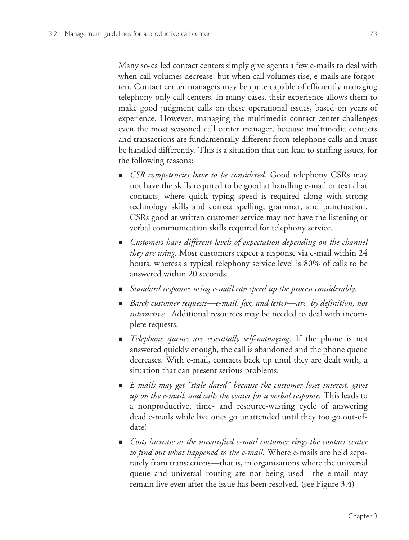Many so-called contact centers simply give agents a few e-mails to deal with when call volumes decrease, but when call volumes rise, e-mails are forgotten. Contact center managers may be quite capable of efficiently managing telephony-only call centers. In many cases, their experience allows them to make good judgment calls on these operational issues, based on years of experience. However, managing the multimedia contact center challenges even the most seasoned call center manager, because multimedia contacts and transactions are fundamentally different from telephone calls and must be handled differently. This is a situation that can lead to staffing issues, for the following reasons:

- **EXA COMPETENCIES have to be considered. Good telephony CSRs may** not have the skills required to be good at handling e-mail or text chat contacts, where quick typing speed is required along with strong technology skills and correct spelling, grammar, and punctuation. CSRs good at written customer service may not have the listening or verbal communication skills required for telephony service.
- *Customers have different levels of expectation depending on the channel they are using.* Most customers expect a response via e-mail within 24 hours, whereas a typical telephony service level is 80% of calls to be answered within 20 seconds.
- *Standard responses using e-mail can speed up the process considerably.*
- *Batch customer requests—e-mail, fax, and letter—are, by definition, not interactive.* Additional resources may be needed to deal with incomplete requests.
- - *Telephone queues are essentially self-managing*. If the phone is not answered quickly enough, the call is abandoned and the phone queue decreases. With e-mail, contacts back up until they are dealt with, a situation that can present serious problems.
- *E-mails may get "stale-dated" because the customer loses interest, gives up on the e-mail, and calls the center for a verbal response.* This leads to a nonproductive, time- and resource-wasting cycle of answering dead e-mails while live ones go unattended until they too go out-ofdate!
- *Costs increase as the unsatisfied e-mail customer rings the contact center to find out what happened to the e-mail.* Where e-mails are held separately from transactions—that is, in organizations where the universal queue and universal routing are not being used—the e-mail may remain live even after the issue has been resolved. (see Figure 3.4)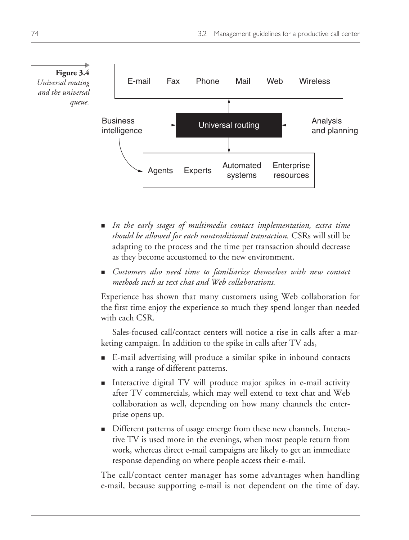

- $\quad \blacksquare$  In the early stages of multimedia contact implementation, extra time *should be allowed for each nontraditional transaction.* CSRs will still be adapting to the process and the time per transaction should decrease as they become accustomed to the new environment.
- - *Customers also need time to familiarize themselves with new contact methods such as text chat and Web collaborations.*

Experience has shown that many customers using Web collaboration for the first time enjoy the experience so much they spend longer than needed with each CSR.

Sales-focused call/contact centers will notice a rise in calls after a marketing campaign. In addition to the spike in calls after TV ads,

- E-mail advertising will produce a similar spike in inbound contacts with a range of different patterns.
- - Interactive digital TV will produce major spikes in e-mail activity after TV commercials, which may well extend to text chat and Web collaboration as well, depending on how many channels the enterprise opens up.
- $\blacksquare$  Different patterns of usage emerge from these new channels. Interactive TV is used more in the evenings, when most people return from work, whereas direct e-mail campaigns are likely to get an immediate response depending on where people access their e-mail.

The call/contact center manager has some advantages when handling e-mail, because supporting e-mail is not dependent on the time of day.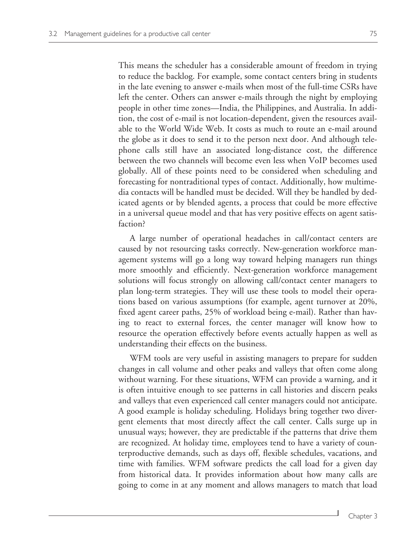This means the scheduler has a considerable amount of freedom in trying to reduce the backlog. For example, some contact centers bring in students in the late evening to answer e-mails when most of the full-time CSRs have left the center. Others can answer e-mails through the night by employing people in other time zones—India, the Philippines, and Australia. In addition, the cost of e-mail is not location-dependent, given the resources available to the World Wide Web. It costs as much to route an e-mail around the globe as it does to send it to the person next door. And although telephone calls still have an associated long-distance cost, the difference between the two channels will become even less when VoIP becomes used globally. All of these points need to be considered when scheduling and forecasting for nontraditional types of contact. Additionally, how multimedia contacts will be handled must be decided. Will they be handled by dedicated agents or by blended agents, a process that could be more effective in a universal queue model and that has very positive effects on agent satisfaction?

A large number of operational headaches in call/contact centers are caused by not resourcing tasks correctly. New-generation workforce management systems will go a long way toward helping managers run things more smoothly and efficiently. Next-generation workforce management solutions will focus strongly on allowing call/contact center managers to plan long-term strategies. They will use these tools to model their operations based on various assumptions (for example, agent turnover at 20%, fixed agent career paths, 25% of workload being e-mail). Rather than having to react to external forces, the center manager will know how to resource the operation effectively before events actually happen as well as understanding their effects on the business.

WFM tools are very useful in assisting managers to prepare for sudden changes in call volume and other peaks and valleys that often come along without warning. For these situations, WFM can provide a warning, and it is often intuitive enough to see patterns in call histories and discern peaks and valleys that even experienced call center managers could not anticipate. A good example is holiday scheduling. Holidays bring together two divergent elements that most directly affect the call center. Calls surge up in unusual ways; however, they are predictable if the patterns that drive them are recognized. At holiday time, employees tend to have a variety of counterproductive demands, such as days off, flexible schedules, vacations, and time with families. WFM software predicts the call load for a given day from historical data. It provides information about how many calls are going to come in at any moment and allows managers to match that load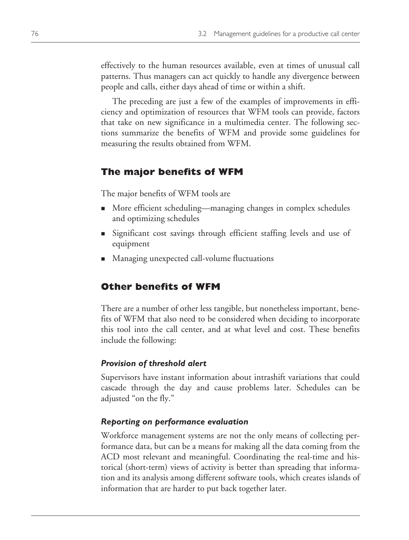effectively to the human resources available, even at times of unusual call patterns. Thus managers can act quickly to handle any divergence between people and calls, either days ahead of time or within a shift.

The preceding are just a few of the examples of improvements in efficiency and optimization of resources that WFM tools can provide, factors that take on new significance in a multimedia center. The following sections summarize the benefits of WFM and provide some guidelines for measuring the results obtained from WFM.

### **The major benefits of WFM**

The major benefits of WFM tools are

- More efficient scheduling—managing changes in complex schedules and optimizing schedules
- Significant cost savings through efficient staffing levels and use of equipment
- Managing unexpected call-volume fluctuations

### **Other benefits of WFM**

There are a number of other less tangible, but nonetheless important, benefits of WFM that also need to be considered when deciding to incorporate this tool into the call center, and at what level and cost. These benefits include the following:

#### *Provision of threshold alert*

Supervisors have instant information about intrashift variations that could cascade through the day and cause problems later. Schedules can be adjusted "on the fly."

#### *Reporting on performance evaluation*

Workforce management systems are not the only means of collecting performance data, but can be a means for making all the data coming from the ACD most relevant and meaningful. Coordinating the real-time and historical (short-term) views of activity is better than spreading that information and its analysis among different software tools, which creates islands of information that are harder to put back together later.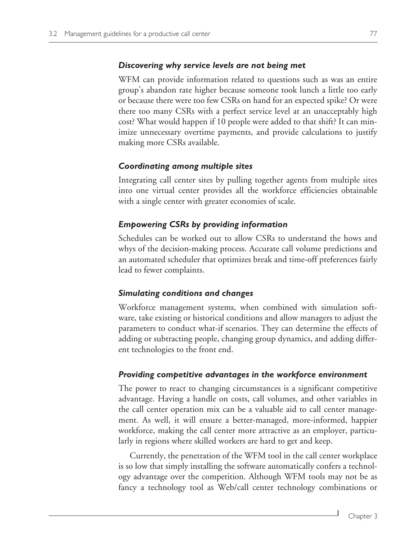#### *Discovering why service levels are not being met*

WFM can provide information related to questions such as was an entire group's abandon rate higher because someone took lunch a little too early or because there were too few CSRs on hand for an expected spike? Or were there too many CSRs with a perfect service level at an unacceptably high cost? What would happen if 10 people were added to that shift? It can minimize unnecessary overtime payments, and provide calculations to justify making more CSRs available.

#### *Coordinating among multiple sites*

Integrating call center sites by pulling together agents from multiple sites into one virtual center provides all the workforce efficiencies obtainable with a single center with greater economies of scale.

#### *Empowering CSRs by providing information*

Schedules can be worked out to allow CSRs to understand the hows and whys of the decision-making process. Accurate call volume predictions and an automated scheduler that optimizes break and time-off preferences fairly lead to fewer complaints.

#### *Simulating conditions and changes*

Workforce management systems, when combined with simulation software, take existing or historical conditions and allow managers to adjust the parameters to conduct what-if scenarios. They can determine the effects of adding or subtracting people, changing group dynamics, and adding different technologies to the front end.

#### *Providing competitive advantages in the workforce environment*

The power to react to changing circumstances is a significant competitive advantage. Having a handle on costs, call volumes, and other variables in the call center operation mix can be a valuable aid to call center management. As well, it will ensure a better-managed, more-informed, happier workforce, making the call center more attractive as an employer, particularly in regions where skilled workers are hard to get and keep.

Currently, the penetration of the WFM tool in the call center workplace is so low that simply installing the software automatically confers a technology advantage over the competition. Although WFM tools may not be as fancy a technology tool as Web/call center technology combinations or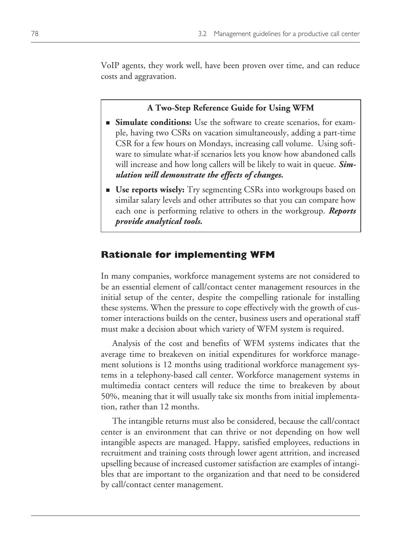VoIP agents, they work well, have been proven over time, and can reduce costs and aggravation.

#### **A Two-Step Reference Guide for Using WFM**

- **Simulate conditions:** Use the software to create scenarios, for example, having two CSRs on vacation simultaneously, adding a part-time CSR for a few hours on Mondays, increasing call volume. Using software to simulate what-if scenarios lets you know how abandoned calls will increase and how long callers will be likely to wait in queue. *Simulation will demonstrate the effects of changes.*
- **Use reports wisely:** Try segmenting CSRs into workgroups based on similar salary levels and other attributes so that you can compare how each one is performing relative to others in the workgroup. *Reports provide analytical tools.*

### **Rationale for implementing WFM**

In many companies, workforce management systems are not considered to be an essential element of call/contact center management resources in the initial setup of the center, despite the compelling rationale for installing these systems. When the pressure to cope effectively with the growth of customer interactions builds on the center, business users and operational staff must make a decision about which variety of WFM system is required.

Analysis of the cost and benefits of WFM systems indicates that the average time to breakeven on initial expenditures for workforce management solutions is 12 months using traditional workforce management systems in a telephony-based call center. Workforce management systems in multimedia contact centers will reduce the time to breakeven by about 50%, meaning that it will usually take six months from initial implementation, rather than 12 months.

The intangible returns must also be considered, because the call/contact center is an environment that can thrive or not depending on how well intangible aspects are managed. Happy, satisfied employees, reductions in recruitment and training costs through lower agent attrition, and increased upselling because of increased customer satisfaction are examples of intangibles that are important to the organization and that need to be considered by call/contact center management.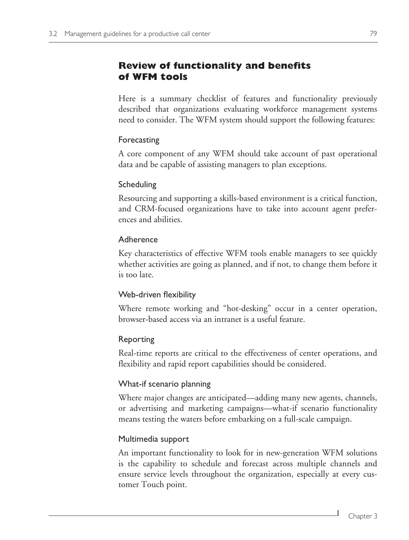# **Review of functionality and benefits of WFM tools**

Here is a summary checklist of features and functionality previously described that organizations evaluating workforce management systems need to consider. The WFM system should support the following features:

### Forecasting

A core component of any WFM should take account of past operational data and be capable of assisting managers to plan exceptions.

### Scheduling

Resourcing and supporting a skills-based environment is a critical function, and CRM-focused organizations have to take into account agent preferences and abilities.

### Adherence

Key characteristics of effective WFM tools enable managers to see quickly whether activities are going as planned, and if not, to change them before it is too late.

## Web-driven flexibility

Where remote working and "hot-desking" occur in a center operation, browser-based access via an intranet is a useful feature.

## Reporting

Real-time reports are critical to the effectiveness of center operations, and flexibility and rapid report capabilities should be considered.

## What-if scenario planning

Where major changes are anticipated—adding many new agents, channels, or advertising and marketing campaigns—what-if scenario functionality means testing the waters before embarking on a full-scale campaign.

## Multimedia support

An important functionality to look for in new-generation WFM solutions is the capability to schedule and forecast across multiple channels and ensure service levels throughout the organization, especially at every customer Touch point.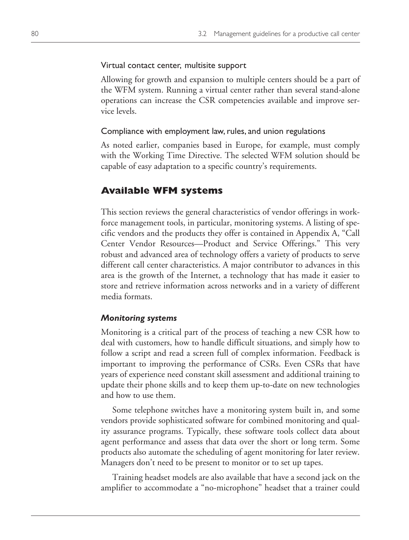#### Virtual contact center, multisite support

Allowing for growth and expansion to multiple centers should be a part of the WFM system. Running a virtual center rather than several stand-alone operations can increase the CSR competencies available and improve service levels.

#### Compliance with employment law, rules, and union regulations

As noted earlier, companies based in Europe, for example, must comply with the Working Time Directive. The selected WFM solution should be capable of easy adaptation to a specific country's requirements.

### **Available WFM systems**

This section reviews the general characteristics of vendor offerings in workforce management tools, in particular, monitoring systems. A listing of specific vendors and the products they offer is contained in Appendix A, "Call Center Vendor Resources—Product and Service Offerings." This very robust and advanced area of technology offers a variety of products to serve different call center characteristics. A major contributor to advances in this area is the growth of the Internet, a technology that has made it easier to store and retrieve information across networks and in a variety of different media formats.

#### *Monitoring systems*

Monitoring is a critical part of the process of teaching a new CSR how to deal with customers, how to handle difficult situations, and simply how to follow a script and read a screen full of complex information. Feedback is important to improving the performance of CSRs. Even CSRs that have years of experience need constant skill assessment and additional training to update their phone skills and to keep them up-to-date on new technologies and how to use them.

Some telephone switches have a monitoring system built in, and some vendors provide sophisticated software for combined monitoring and quality assurance programs. Typically, these software tools collect data about agent performance and assess that data over the short or long term. Some products also automate the scheduling of agent monitoring for later review. Managers don't need to be present to monitor or to set up tapes.

Training headset models are also available that have a second jack on the amplifier to accommodate a "no-microphone" headset that a trainer could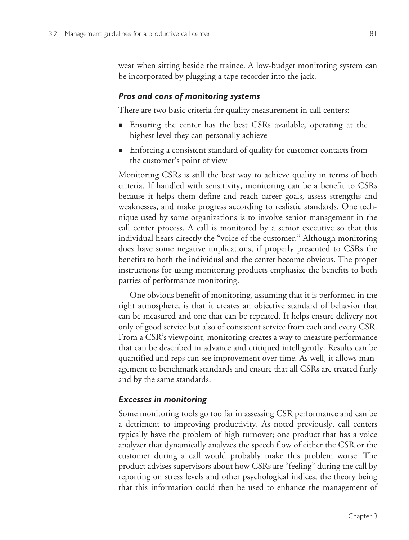wear when sitting beside the trainee. A low-budget monitoring system can be incorporated by plugging a tape recorder into the jack.

#### *Pros and cons of monitoring systems*

There are two basic criteria for quality measurement in call centers:

- Ensuring the center has the best CSRs available, operating at the highest level they can personally achieve
- Enforcing a consistent standard of quality for customer contacts from the customer's point of view

Monitoring CSRs is still the best way to achieve quality in terms of both criteria. If handled with sensitivity, monitoring can be a benefit to CSRs because it helps them define and reach career goals, assess strengths and weaknesses, and make progress according to realistic standards. One technique used by some organizations is to involve senior management in the call center process. A call is monitored by a senior executive so that this individual hears directly the "voice of the customer." Although monitoring does have some negative implications, if properly presented to CSRs the benefits to both the individual and the center become obvious. The proper instructions for using monitoring products emphasize the benefits to both parties of performance monitoring.

One obvious benefit of monitoring, assuming that it is performed in the right atmosphere, is that it creates an objective standard of behavior that can be measured and one that can be repeated. It helps ensure delivery not only of good service but also of consistent service from each and every CSR. From a CSR's viewpoint, monitoring creates a way to measure performance that can be described in advance and critiqued intelligently. Results can be quantified and reps can see improvement over time. As well, it allows management to benchmark standards and ensure that all CSRs are treated fairly and by the same standards.

#### *Excesses in monitoring*

Some monitoring tools go too far in assessing CSR performance and can be a detriment to improving productivity. As noted previously, call centers typically have the problem of high turnover; one product that has a voice analyzer that dynamically analyzes the speech flow of either the CSR or the customer during a call would probably make this problem worse. The product advises supervisors about how CSRs are "feeling" during the call by reporting on stress levels and other psychological indices, the theory being that this information could then be used to enhance the management of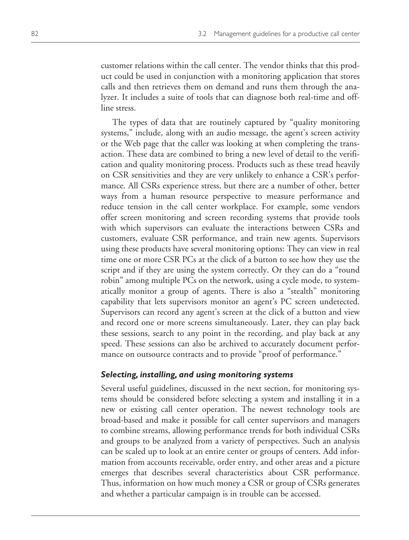customer relations within the call center. The vendor thinks that this product could be used in conjunction with a monitoring application that stores calls and then retrieves them on demand and runs them through the analyzer. It includes a suite of tools that can diagnose both real-time and offline stress.

The types of data that are routinely captured by "quality monitoring systems," include, along with an audio message, the agent's screen activity or the Web page that the caller was looking at when completing the transaction. These data are combined to bring a new level of detail to the verification and quality monitoring process. Products such as these tread heavily on CSR sensitivities and they are very unlikely to enhance a CSR's performance. All CSRs experience stress, but there are a number of other, better ways from a human resource perspective to measure performance and reduce tension in the call center workplace. For example, some vendors offer screen monitoring and screen recording systems that provide tools with which supervisors can evaluate the interactions between CSRs and customers, evaluate CSR performance, and train new agents. Supervisors using these products have several monitoring options: They can view in real time one or more CSR PCs at the click of a button to see how they use the script and if they are using the system correctly. Or they can do a "round robin" among multiple PCs on the network, using a cycle mode, to systematically monitor a group of agents. There is also a "stealth" monitoring capability that lets supervisors monitor an agent's PC screen undetected. Supervisors can record any agent's screen at the click of a button and view and record one or more screens simultaneously. Later, they can play back these sessions, search to any point in the recording, and play back at any speed. These sessions can also be archived to accurately document performance on outsource contracts and to provide "proof of performance."

#### *Selecting, installing, and using monitoring systems*

Several useful guidelines, discussed in the next section, for monitoring systems should be considered before selecting a system and installing it in a new or existing call center operation. The newest technology tools are broad-based and make it possible for call center supervisors and managers to combine streams, allowing performance trends for both individual CSRs and groups to be analyzed from a variety of perspectives. Such an analysis can be scaled up to look at an entire center or groups of centers. Add information from accounts receivable, order entry, and other areas and a picture emerges that describes several characteristics about CSR performance. Thus, information on how much money a CSR or group of CSRs generates and whether a particular campaign is in trouble can be accessed.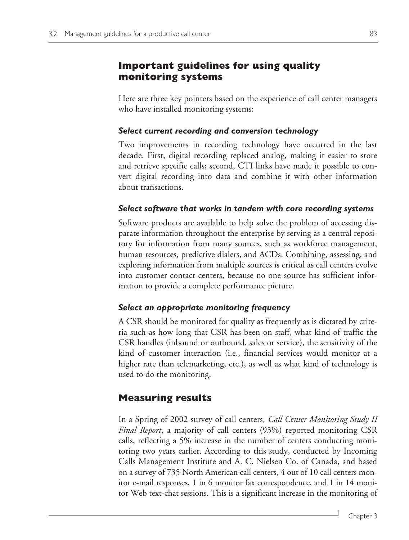# **Important guidelines for using quality monitoring systems**

Here are three key pointers based on the experience of call center managers who have installed monitoring systems:

#### *Select current recording and conversion technology*

Two improvements in recording technology have occurred in the last decade. First, digital recording replaced analog, making it easier to store and retrieve specific calls; second, CTI links have made it possible to convert digital recording into data and combine it with other information about transactions.

### *Select software that works in tandem with core recording systems*

Software products are available to help solve the problem of accessing disparate information throughout the enterprise by serving as a central repository for information from many sources, such as workforce management, human resources, predictive dialers, and ACDs. Combining, assessing, and exploring information from multiple sources is critical as call centers evolve into customer contact centers, because no one source has sufficient information to provide a complete performance picture.

### *Select an appropriate monitoring frequency*

A CSR should be monitored for quality as frequently as is dictated by criteria such as how long that CSR has been on staff, what kind of traffic the CSR handles (inbound or outbound, sales or service), the sensitivity of the kind of customer interaction (i.e., financial services would monitor at a higher rate than telemarketing, etc.), as well as what kind of technology is used to do the monitoring.

### **Measuring results**

In a Spring of 2002 survey of call centers, *Call Center Monitoring Study II Final Report*, a majority of call centers (93%) reported monitoring CSR calls, reflecting a 5% increase in the number of centers conducting monitoring two years earlier. According to this study, conducted by Incoming Calls Management Institute and A. C. Nielsen Co. of Canada, and based on a survey of 735 North American call centers, 4 out of 10 call centers monitor e-mail responses, 1 in 6 monitor fax correspondence, and 1 in 14 monitor Web text-chat sessions. This is a significant increase in the monitoring of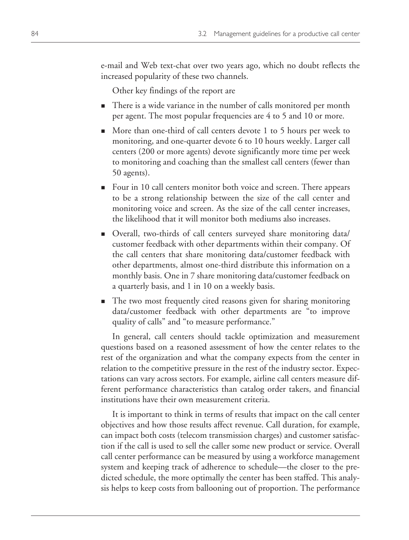e-mail and Web text-chat over two years ago, which no doubt reflects the increased popularity of these two channels.

Other key findings of the report are

- There is a wide variance in the number of calls monitored per month per agent. The most popular frequencies are 4 to 5 and 10 or more.
- More than one-third of call centers devote 1 to 5 hours per week to monitoring, and one-quarter devote 6 to 10 hours weekly. Larger call centers (200 or more agents) devote significantly more time per week to monitoring and coaching than the smallest call centers (fewer than 50 agents).
- - Four in 10 call centers monitor both voice and screen. There appears to be a strong relationship between the size of the call center and monitoring voice and screen. As the size of the call center increases, the likelihood that it will monitor both mediums also increases.
- Overall, two-thirds of call centers surveyed share monitoring data/ customer feedback with other departments within their company. Of the call centers that share monitoring data/customer feedback with other departments, almost one-third distribute this information on a monthly basis. One in 7 share monitoring data/customer feedback on a quarterly basis, and 1 in 10 on a weekly basis.
- The two most frequently cited reasons given for sharing monitoring data/customer feedback with other departments are "to improve quality of calls" and "to measure performance."

In general, call centers should tackle optimization and measurement questions based on a reasoned assessment of how the center relates to the rest of the organization and what the company expects from the center in relation to the competitive pressure in the rest of the industry sector. Expectations can vary across sectors. For example, airline call centers measure different performance characteristics than catalog order takers, and financial institutions have their own measurement criteria.

It is important to think in terms of results that impact on the call center objectives and how those results affect revenue. Call duration, for example, can impact both costs (telecom transmission charges) and customer satisfaction if the call is used to sell the caller some new product or service. Overall call center performance can be measured by using a workforce management system and keeping track of adherence to schedule—the closer to the predicted schedule, the more optimally the center has been staffed. This analysis helps to keep costs from ballooning out of proportion. The performance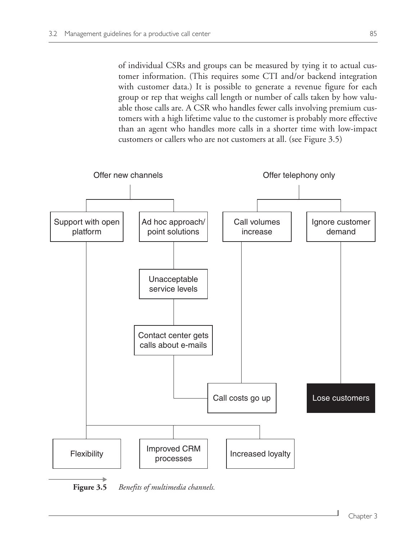of individual CSRs and groups can be measured by tying it to actual customer information. (This requires some CTI and/or backend integration with customer data.) It is possible to generate a revenue figure for each group or rep that weighs call length or number of calls taken by how valuable those calls are. A CSR who handles fewer calls involving premium customers with a high lifetime value to the customer is probably more effective than an agent who handles more calls in a shorter time with low-impact customers or callers who are not customers at all. (see Figure 3.5)



**Figure 3.5** *Benefits of multimedia channels.*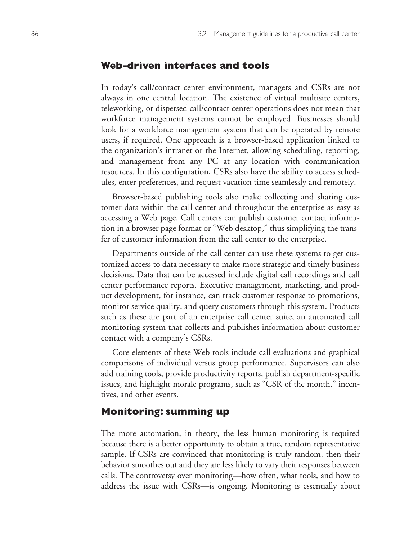### **Web-driven interfaces and tools**

In today's call/contact center environment, managers and CSRs are not always in one central location. The existence of virtual multisite centers, teleworking, or dispersed call/contact center operations does not mean that workforce management systems cannot be employed. Businesses should look for a workforce management system that can be operated by remote users, if required. One approach is a browser-based application linked to the organization's intranet or the Internet, allowing scheduling, reporting, and management from any PC at any location with communication resources. In this configuration, CSRs also have the ability to access schedules, enter preferences, and request vacation time seamlessly and remotely.

Browser-based publishing tools also make collecting and sharing customer data within the call center and throughout the enterprise as easy as accessing a Web page. Call centers can publish customer contact information in a browser page format or "Web desktop," thus simplifying the transfer of customer information from the call center to the enterprise.

Departments outside of the call center can use these systems to get customized access to data necessary to make more strategic and timely business decisions. Data that can be accessed include digital call recordings and call center performance reports. Executive management, marketing, and product development, for instance, can track customer response to promotions, monitor service quality, and query customers through this system. Products such as these are part of an enterprise call center suite, an automated call monitoring system that collects and publishes information about customer contact with a company's CSRs.

Core elements of these Web tools include call evaluations and graphical comparisons of individual versus group performance. Supervisors can also add training tools, provide productivity reports, publish department-specific issues, and highlight morale programs, such as "CSR of the month," incentives, and other events.

### **Monitoring: summing up**

The more automation, in theory, the less human monitoring is required because there is a better opportunity to obtain a true, random representative sample. If CSRs are convinced that monitoring is truly random, then their behavior smoothes out and they are less likely to vary their responses between calls. The controversy over monitoring—how often, what tools, and how to address the issue with CSRs—is ongoing. Monitoring is essentially about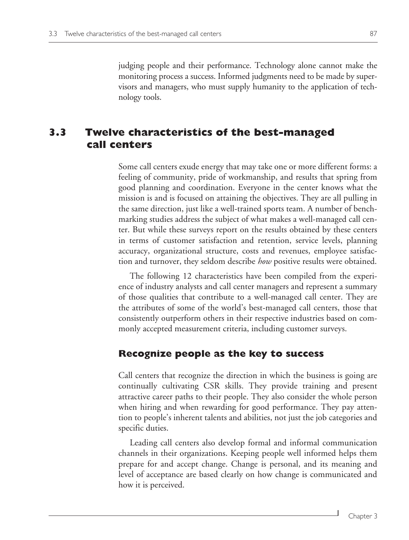judging people and their performance. Technology alone cannot make the monitoring process a success. Informed judgments need to be made by supervisors and managers, who must supply humanity to the application of technology tools.

# **3.3 Twelve characteristics of the best-managed call centers**

Some call centers exude energy that may take one or more different forms: a feeling of community, pride of workmanship, and results that spring from good planning and coordination. Everyone in the center knows what the mission is and is focused on attaining the objectives. They are all pulling in the same direction, just like a well-trained sports team. A number of benchmarking studies address the subject of what makes a well-managed call center. But while these surveys report on the results obtained by these centers in terms of customer satisfaction and retention, service levels, planning accuracy, organizational structure, costs and revenues, employee satisfaction and turnover, they seldom describe *how* positive results were obtained.

The following 12 characteristics have been compiled from the experience of industry analysts and call center managers and represent a summary of those qualities that contribute to a well-managed call center. They are the attributes of some of the world's best-managed call centers, those that consistently outperform others in their respective industries based on commonly accepted measurement criteria, including customer surveys.

### **Recognize people as the key to success**

Call centers that recognize the direction in which the business is going are continually cultivating CSR skills. They provide training and present attractive career paths to their people. They also consider the whole person when hiring and when rewarding for good performance. They pay attention to people's inherent talents and abilities, not just the job categories and specific duties.

Leading call centers also develop formal and informal communication channels in their organizations. Keeping people well informed helps them prepare for and accept change. Change is personal, and its meaning and level of acceptance are based clearly on how change is communicated and how it is perceived.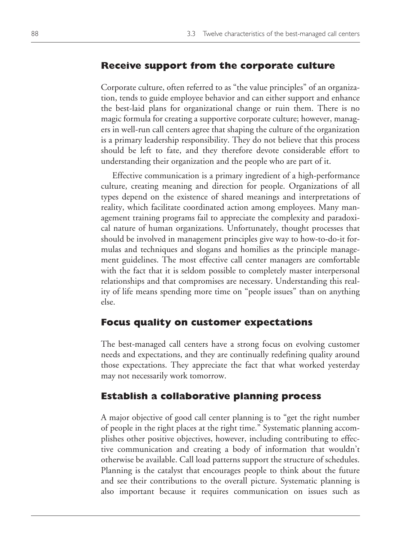### **Receive support from the corporate culture**

Corporate culture, often referred to as "the value principles" of an organization, tends to guide employee behavior and can either support and enhance the best-laid plans for organizational change or ruin them. There is no magic formula for creating a supportive corporate culture; however, managers in well-run call centers agree that shaping the culture of the organization is a primary leadership responsibility. They do not believe that this process should be left to fate, and they therefore devote considerable effort to understanding their organization and the people who are part of it.

Effective communication is a primary ingredient of a high-performance culture, creating meaning and direction for people. Organizations of all types depend on the existence of shared meanings and interpretations of reality, which facilitate coordinated action among employees. Many management training programs fail to appreciate the complexity and paradoxical nature of human organizations. Unfortunately, thought processes that should be involved in management principles give way to how-to-do-it formulas and techniques and slogans and homilies as the principle management guidelines. The most effective call center managers are comfortable with the fact that it is seldom possible to completely master interpersonal relationships and that compromises are necessary. Understanding this reality of life means spending more time on "people issues" than on anything else.

#### **Focus quality on customer expectations**

The best-managed call centers have a strong focus on evolving customer needs and expectations, and they are continually redefining quality around those expectations. They appreciate the fact that what worked yesterday may not necessarily work tomorrow.

### **Establish a collaborative planning process**

A major objective of good call center planning is to "get the right number of people in the right places at the right time." Systematic planning accomplishes other positive objectives, however, including contributing to effective communication and creating a body of information that wouldn't otherwise be available. Call load patterns support the structure of schedules. Planning is the catalyst that encourages people to think about the future and see their contributions to the overall picture. Systematic planning is also important because it requires communication on issues such as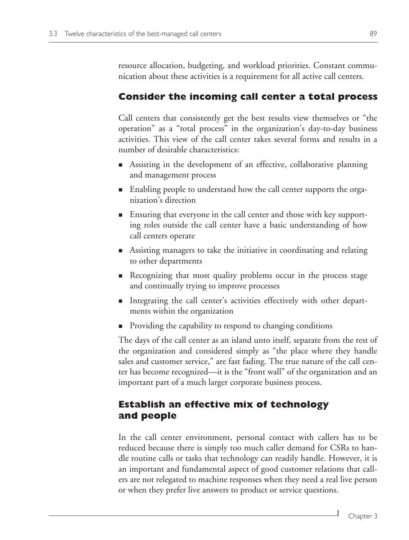resource allocation, budgeting, and workload priorities. Constant communication about these activities is a requirement for all active call centers.

# **Consider the incoming call center a total process**

Call centers that consistently get the best results view themselves or "the operation" as a "total process" in the organization's day-to-day business activities. This view of the call center takes several forms and results in a number of desirable characteristics:

- Assisting in the development of an effective, collaborative planning and management process
- Enabling people to understand how the call center supports the organization's direction
- Ensuring that everyone in the call center and those with key supporting roles outside the call center have a basic understanding of how call centers operate
- Assisting managers to take the initiative in coordinating and relating to other departments
- **EXECOGNE RECOGNEUS** Recognizing that most quality problems occur in the process stage and continually trying to improve processes
- Integrating the call center's activities effectively with other departments within the organization
- -Providing the capability to respond to changing conditions

The days of the call center as an island unto itself, separate from the rest of the organization and considered simply as "the place where they handle sales and customer service," are fast fading. The true nature of the call center has become recognized—it is the "front wall" of the organization and an important part of a much larger corporate business process.

# **Establish an effective mix of technology and people**

In the call center environment, personal contact with callers has to be reduced because there is simply too much caller demand for CSRs to handle routine calls or tasks that technology can readily handle. However, it is an important and fundamental aspect of good customer relations that callers are not relegated to machine responses when they need a real live person or when they prefer live answers to product or service questions.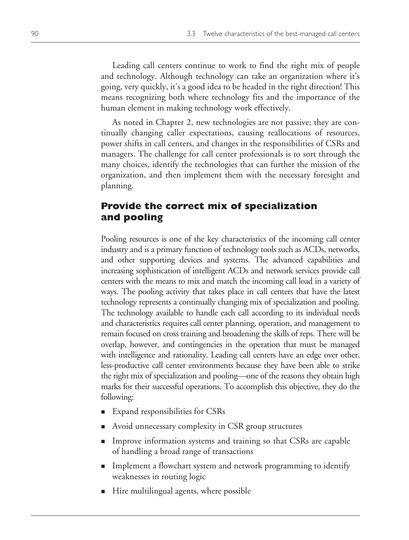Leading call centers continue to work to find the right mix of people and technology. Although technology can take an organization where it's going, very quickly, it's a good idea to be headed in the right direction! This means recognizing both where technology fits and the importance of the human element in making technology work effectively.

As noted in Chapter 2, new technologies are not passive; they are continually changing caller expectations, causing reallocations of resources, power shifts in call centers, and changes in the responsibilities of CSRs and managers. The challenge for call center professionals is to sort through the many choices, identify the technologies that can further the mission of the organization, and then implement them with the necessary foresight and planning.

## **Provide the correct mix of specialization and pooling**

Pooling resources is one of the key characteristics of the incoming call center industry and is a primary function of technology tools such as ACDs, networks, and other supporting devices and systems. The advanced capabilities and increasing sophistication of intelligent ACDs and network services provide call centers with the means to mix and match the incoming call load in a variety of ways. The pooling activity that takes place in call centers that have the latest technology represents a continually changing mix of specialization and pooling. The technology available to handle each call according to its individual needs and characteristics requires call center planning, operation, and management to remain focused on cross training and broadening the skills of reps. There will be overlap, however, and contingencies in the operation that must be managed with intelligence and rationality. Leading call centers have an edge over other, less-productive call center environments because they have been able to strike the right mix of specialization and pooling—one of the reasons they obtain high marks for their successful operations. To accomplish this objective, they do the following:

- -Expand responsibilities for CSRs
- -Avoid unnecessary complexity in CSR group structures
- - Improve information systems and training so that CSRs are capable of handling a broad range of transactions
- $\quad \blacksquare \quad$  Implement a flowchart system and network programming to identify weaknesses in routing logic
- -Hire multilingual agents, where possible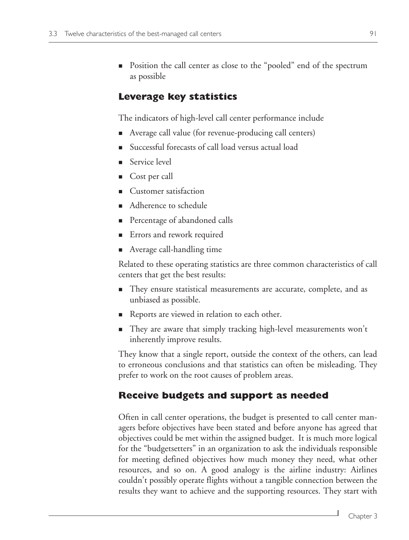- Position the call center as close to the "pooled" end of the spectrum as possible

# **Leverage key statistics**

The indicators of high-level call center performance include

- -Average call value (for revenue-producing call centers)
- -Successful forecasts of call load versus actual load
- -Service level
- -Cost per call
- -Customer satisfaction
- -Adherence to schedule
- -Percentage of abandoned calls
- Errors and rework required
- Average call-handling time

Related to these operating statistics are three common characteristics of call centers that get the best results:

- - They ensure statistical measurements are accurate, complete, and as unbiased as possible.
- -Reports are viewed in relation to each other.
- - They are aware that simply tracking high-level measurements won't inherently improve results.

They know that a single report, outside the context of the others, can lead to erroneous conclusions and that statistics can often be misleading. They prefer to work on the root causes of problem areas.

## **Receive budgets and support as needed**

Often in call center operations, the budget is presented to call center managers before objectives have been stated and before anyone has agreed that objectives could be met within the assigned budget. It is much more logical for the "budgetsetters" in an organization to ask the individuals responsible for meeting defined objectives how much money they need, what other resources, and so on. A good analogy is the airline industry: Airlines couldn't possibly operate flights without a tangible connection between the results they want to achieve and the supporting resources. They start with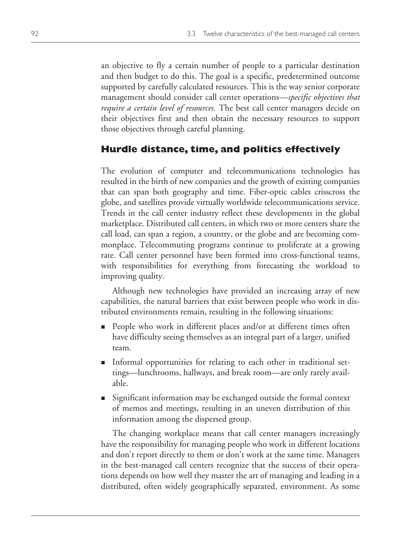an objective to fly a certain number of people to a particular destination and then budget to do this. The goal is a specific, predetermined outcome supported by carefully calculated resources. This is the way senior corporate management should consider call center operations—*specific objectives that require a certain level of resources.* The best call center managers decide on their objectives first and then obtain the necessary resources to support those objectives through careful planning.

### **Hurdle distance, time, and politics effectively**

The evolution of computer and telecommunications technologies has resulted in the birth of new companies and the growth of existing companies that can span both geography and time. Fiber-optic cables crisscross the globe, and satellites provide virtually worldwide telecommunications service. Trends in the call center industry reflect these developments in the global marketplace. Distributed call centers, in which two or more centers share the call load, can span a region, a country, or the globe and are becoming commonplace. Telecommuting programs continue to proliferate at a growing rate. Call center personnel have been formed into cross-functional teams, with responsibilities for everything from forecasting the workload to improving quality.

Although new technologies have provided an increasing array of new capabilities, the natural barriers that exist between people who work in distributed environments remain, resulting in the following situations:

- People who work in different places and/or at different times often have difficulty seeing themselves as an integral part of a larger, unified team.
- Informal opportunities for relating to each other in traditional settings—lunchrooms, hallways, and break room—are only rarely available.
- - Significant information may be exchanged outside the formal context of memos and meetings, resulting in an uneven distribution of this information among the dispersed group.

The changing workplace means that call center managers increasingly have the responsibility for managing people who work in different locations and don't report directly to them or don't work at the same time. Managers in the best-managed call centers recognize that the success of their operations depends on how well they master the art of managing and leading in a distributed, often widely geographically separated, environment. As some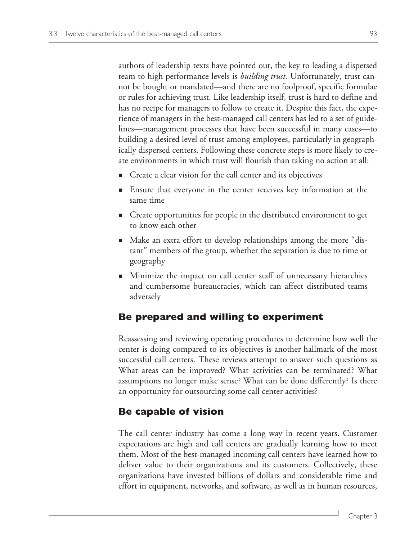authors of leadership texts have pointed out, the key to leading a dispersed team to high performance levels is *building trust.* Unfortunately, trust cannot be bought or mandated—and there are no foolproof, specific formulae or rules for achieving trust. Like leadership itself, trust is hard to define and has no recipe for managers to follow to create it. Despite this fact, the experience of managers in the best-managed call centers has led to a set of guidelines—management processes that have been successful in many cases—to building a desired level of trust among employees, particularly in geographically dispersed centers. Following these concrete steps is more likely to create environments in which trust will flourish than taking no action at all:

- **EX** Create a clear vision for the call center and its objectives
- Ensure that everyone in the center receives key information at the same time
- Create opportunities for people in the distributed environment to get to know each other
- Make an extra effort to develop relationships among the more "distant" members of the group, whether the separation is due to time or geography
- Minimize the impact on call center staff of unnecessary hierarchies and cumbersome bureaucracies, which can affect distributed teams adversely

# **Be prepared and willing to experiment**

Reassessing and reviewing operating procedures to determine how well the center is doing compared to its objectives is another hallmark of the most successful call centers. These reviews attempt to answer such questions as What areas can be improved? What activities can be terminated? What assumptions no longer make sense? What can be done differently? Is there an opportunity for outsourcing some call center activities?

# **Be capable of vision**

The call center industry has come a long way in recent years. Customer expectations are high and call centers are gradually learning how to meet them. Most of the best-managed incoming call centers have learned how to deliver value to their organizations and its customers. Collectively, these organizations have invested billions of dollars and considerable time and effort in equipment, networks, and software, as well as in human resources,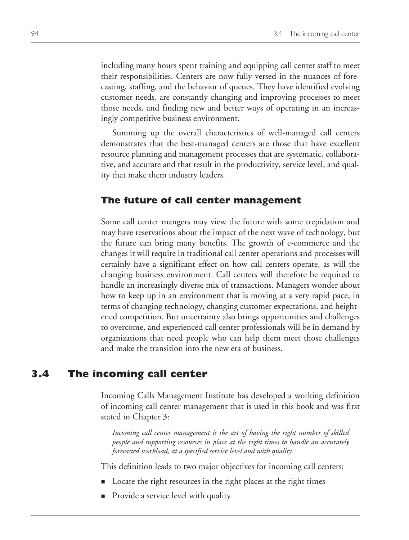including many hours spent training and equipping call center staff to meet their responsibilities. Centers are now fully versed in the nuances of forecasting, staffing, and the behavior of queues. They have identified evolving customer needs, are constantly changing and improving processes to meet those needs, and finding new and better ways of operating in an increasingly competitive business environment.

Summing up the overall characteristics of well-managed call centers demonstrates that the best-managed centers are those that have excellent resource planning and management processes that are systematic, collaborative, and accurate and that result in the productivity, service level, and quality that make them industry leaders.

### **The future of call center management**

Some call center mangers may view the future with some trepidation and may have reservations about the impact of the next wave of technology, but the future can bring many benefits. The growth of e-commerce and the changes it will require in traditional call center operations and processes will certainly have a significant effect on how call centers operate, as will the changing business environment. Call centers will therefore be required to handle an increasingly diverse mix of transactions. Managers wonder about how to keep up in an environment that is moving at a very rapid pace, in terms of changing technology, changing customer expectations, and heightened competition. But uncertainty also brings opportunities and challenges to overcome, and experienced call center professionals will be in demand by organizations that need people who can help them meet those challenges and make the transition into the new era of business.

### **3.4 The incoming call center**

Incoming Calls Management Institute has developed a working definition of incoming call center management that is used in this book and was first stated in Chapter 3:

*Incoming call center management is the art of having the right number of skilled people and supporting resources in place at the right times to handle an accurately forecasted workload, at a specified service level and with quality.*

This definition leads to two major objectives for incoming call centers:

- **EXECUTE:** Locate the right resources in the right places at the right times
- **Provide a service level with quality**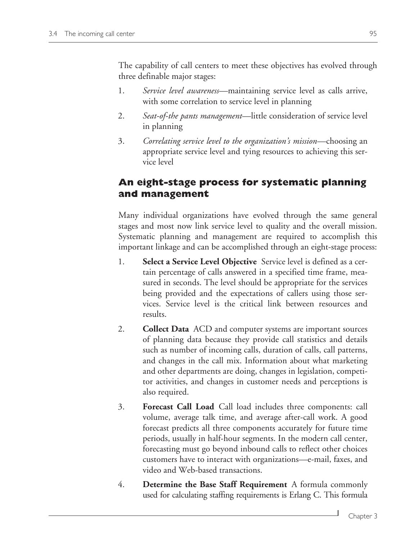The capability of call centers to meet these objectives has evolved through three definable major stages:

- 1. *Service level awareness*—maintaining service level as calls arrive, with some correlation to service level in planning
- 2. *Seat-of-the pants management*—little consideration of service level in planning
- 3. *Correlating service level to the organization's mission*—choosing an appropriate service level and tying resources to achieving this service level

# **An eight-stage process for systematic planning and management**

Many individual organizations have evolved through the same general stages and most now link service level to quality and the overall mission. Systematic planning and management are required to accomplish this important linkage and can be accomplished through an eight-stage process:

- 1. **Select a Service Level Objective** Service level is defined as a certain percentage of calls answered in a specified time frame, measured in seconds. The level should be appropriate for the services being provided and the expectations of callers using those services. Service level is the critical link between resources and results.
- 2. **Collect Data** ACD and computer systems are important sources of planning data because they provide call statistics and details such as number of incoming calls, duration of calls, call patterns, and changes in the call mix. Information about what marketing and other departments are doing, changes in legislation, competitor activities, and changes in customer needs and perceptions is also required.
- 3. **Forecast Call Load** Call load includes three components: call volume, average talk time, and average after-call work. A good forecast predicts all three components accurately for future time periods, usually in half-hour segments. In the modern call center, forecasting must go beyond inbound calls to reflect other choices customers have to interact with organizations—e-mail, faxes, and video and Web-based transactions.
- 4. **Determine the Base Staff Requirement** A formula commonly used for calculating staffing requirements is Erlang C. This formula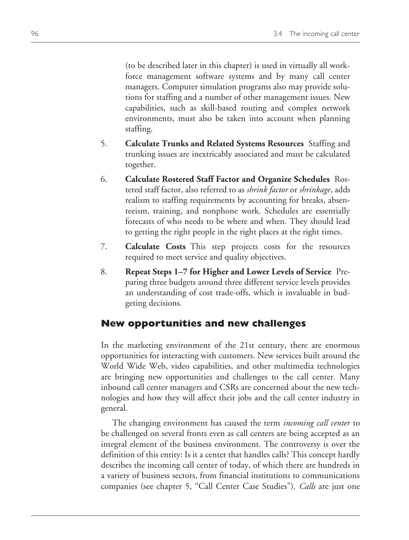(to be described later in this chapter) is used in virtually all workforce management software systems and by many call center managers. Computer simulation programs also may provide solutions for staffing and a number of other management issues. New capabilities, such as skill-based routing and complex network environments, must also be taken into account when planning staffing.

- 5. **Calculate Trunks and Related Systems Resources** Staffing and trunking issues are inextricably associated and must be calculated together.
- 6. **Calculate Rostered Staff Factor and Organize Schedules** Rostered staff factor, also referred to as *shrink factor* or *shrinkage*, adds realism to staffing requirements by accounting for breaks, absenteeism, training, and nonphone work. Schedules are essentially forecasts of who needs to be where and when. They should lead to getting the right people in the right places at the right times.
- 7. **Calculate Costs** This step projects costs for the resources required to meet service and quality objectives.
- 8. **Repeat Steps 1–7 for Higher and Lower Levels of Service** Preparing three budgets around three different service levels provides an understanding of cost trade-offs, which is invaluable in budgeting decisions.

### **New opportunities and new challenges**

In the marketing environment of the 21st century, there are enormous opportunities for interacting with customers. New services built around the World Wide Web, video capabilities, and other multimedia technologies are bringing new opportunities and challenges to the call center. Many inbound call center managers and CSRs are concerned about the new technologies and how they will affect their jobs and the call center industry in general.

The changing environment has caused the term *incoming call center* to be challenged on several fronts even as call centers are being accepted as an integral element of the business environment. The controversy is over the definition of this entity: Is it a center that handles calls? This concept hardly describes the incoming call center of today, of which there are hundreds in a variety of business sectors, from financial institutions to communications companies (see chapter 5, "Call Center Case Studies"). *Calls* are just one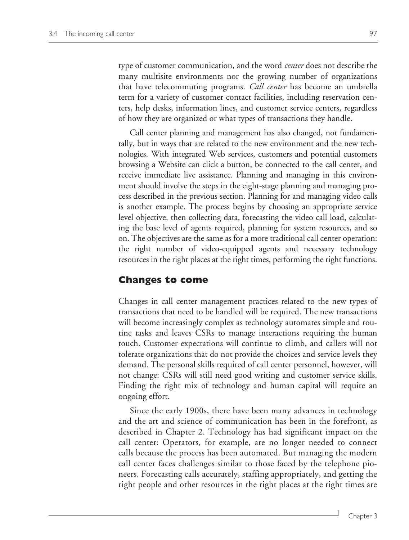type of customer communication, and the word *center* does not describe the many multisite environments nor the growing number of organizations that have telecommuting programs. *Call center* has become an umbrella term for a variety of customer contact facilities, including reservation centers, help desks, information lines, and customer service centers, regardless of how they are organized or what types of transactions they handle.

Call center planning and management has also changed, not fundamentally, but in ways that are related to the new environment and the new technologies. With integrated Web services, customers and potential customers browsing a Website can click a button, be connected to the call center, and receive immediate live assistance. Planning and managing in this environment should involve the steps in the eight-stage planning and managing process described in the previous section. Planning for and managing video calls is another example. The process begins by choosing an appropriate service level objective, then collecting data, forecasting the video call load, calculating the base level of agents required, planning for system resources, and so on. The objectives are the same as for a more traditional call center operation: the right number of video-equipped agents and necessary technology resources in the right places at the right times, performing the right functions.

### **Changes to come**

Changes in call center management practices related to the new types of transactions that need to be handled will be required. The new transactions will become increasingly complex as technology automates simple and routine tasks and leaves CSRs to manage interactions requiring the human touch. Customer expectations will continue to climb, and callers will not tolerate organizations that do not provide the choices and service levels they demand. The personal skills required of call center personnel, however, will not change: CSRs will still need good writing and customer service skills. Finding the right mix of technology and human capital will require an ongoing effort.

Since the early 1900s, there have been many advances in technology and the art and science of communication has been in the forefront, as described in Chapter 2. Technology has had significant impact on the call center: Operators, for example, are no longer needed to connect calls because the process has been automated. But managing the modern call center faces challenges similar to those faced by the telephone pioneers. Forecasting calls accurately, staffing appropriately, and getting the right people and other resources in the right places at the right times are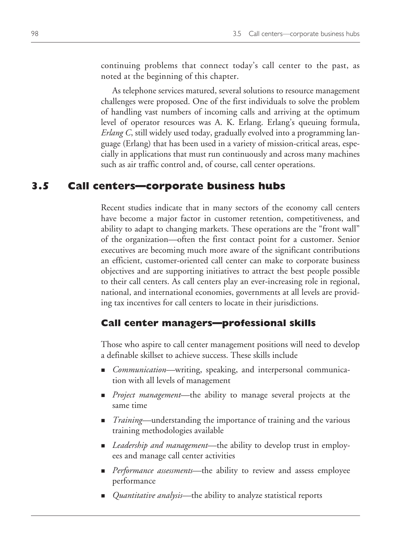continuing problems that connect today's call center to the past, as noted at the beginning of this chapter.

As telephone services matured, several solutions to resource management challenges were proposed. One of the first individuals to solve the problem of handling vast numbers of incoming calls and arriving at the optimum level of operator resources was A. K. Erlang. Erlang's queuing formula, *Erlang C*, still widely used today, gradually evolved into a programming language (Erlang) that has been used in a variety of mission-critical areas, especially in applications that must run continuously and across many machines such as air traffic control and, of course, call center operations.

# **3.5 Call centers—corporate business hubs**

Recent studies indicate that in many sectors of the economy call centers have become a major factor in customer retention, competitiveness, and ability to adapt to changing markets. These operations are the "front wall" of the organization—often the first contact point for a customer. Senior executives are becoming much more aware of the significant contributions an efficient, customer-oriented call center can make to corporate business objectives and are supporting initiatives to attract the best people possible to their call centers. As call centers play an ever-increasing role in regional, national, and international economies, governments at all levels are providing tax incentives for call centers to locate in their jurisdictions.

## **Call center managers—professional skills**

Those who aspire to call center management positions will need to develop a definable skillset to achieve success. These skills include

- *Communication—*writing, speaking, and interpersonal communication with all levels of management
- *Project management*—the ability to manage several projects at the same time
- *Training—*understanding the importance of training and the various training methodologies available
- *Leadership and management*—the ability to develop trust in employees and manage call center activities
- **Performance assessments—the ability to review and assess employee** performance
- -*Quantitative analysis—*the ability to analyze statistical reports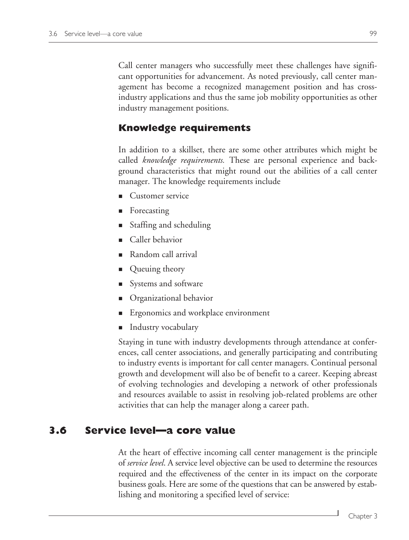Call center managers who successfully meet these challenges have significant opportunities for advancement. As noted previously, call center management has become a recognized management position and has crossindustry applications and thus the same job mobility opportunities as other industry management positions.

## **Knowledge requirements**

In addition to a skillset, there are some other attributes which might be called *knowledge requirements.* These are personal experience and background characteristics that might round out the abilities of a call center manager. The knowledge requirements include

- -Customer service
- -Forecasting
- -Staffing and scheduling
- -Caller behavior
- -Random call arrival
- -Queuing theory
- -Systems and software
- -Organizational behavior
- -Ergonomics and workplace environment
- -Industry vocabulary

Staying in tune with industry developments through attendance at conferences, call center associations, and generally participating and contributing to industry events is important for call center managers. Continual personal growth and development will also be of benefit to a career. Keeping abreast of evolving technologies and developing a network of other professionals and resources available to assist in resolving job-related problems are other activities that can help the manager along a career path.

# **3.6 Service level—a core value**

At the heart of effective incoming call center management is the principle of *service level*. A service level objective can be used to determine the resources required and the effectiveness of the center in its impact on the corporate business goals. Here are some of the questions that can be answered by establishing and monitoring a specified level of service: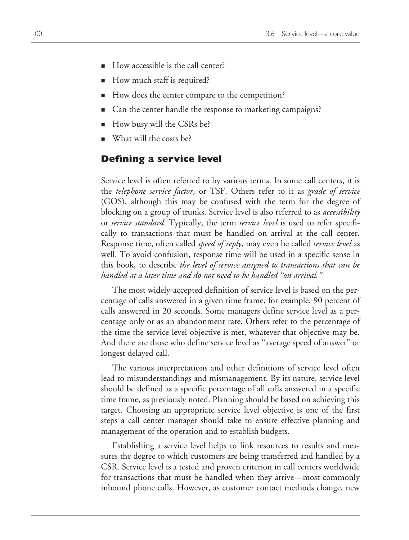- -How accessible is the call center?
- -How much staff is required?
- -How does the center compare to the competition?
- -Can the center handle the response to marketing campaigns?
- -How busy will the CSRs be?
- -What will the costs be?

## **Defining a service level**

Service level is often referred to by various terms. In some call centers, it is the *telephone service factor*, or TSF. Others refer to it as *grade of service* (GOS), although this may be confused with the term for the degree of blocking on a group of trunks. Service level is also referred to as *accessibility* or *service standard*. Typically, the term *service level* is used to refer specifically to transactions that must be handled on arrival at the call center. Response time, often called *speed of reply*, may even be called *service level* as well. To avoid confusion, response time will be used in a specific sense in this book, to describe *the level of service assigned to transactions that can be handled at a later time and do not need to be handled "on arrival."*

The most widely-accepted definition of service level is based on the percentage of calls answered in a given time frame, for example, 90 percent of calls answered in 20 seconds. Some managers define service level as a percentage only or as an abandonment rate. Others refer to the percentage of the time the service level objective is met, whatever that objective may be. And there are those who define service level as "average speed of answer" or longest delayed call.

The various interpretations and other definitions of service level often lead to misunderstandings and mismanagement. By its nature, service level should be defined as a specific percentage of all calls answered in a specific time frame, as previously noted. Planning should be based on achieving this target. Choosing an appropriate service level objective is one of the first steps a call center manager should take to ensure effective planning and management of the operation and to establish budgets.

Establishing a service level helps to link resources to results and measures the degree to which customers are being transferred and handled by a CSR. Service level is a tested and proven criterion in call centers worldwide for transactions that must be handled when they arrive—most commonly inbound phone calls. However, as customer contact methods change, new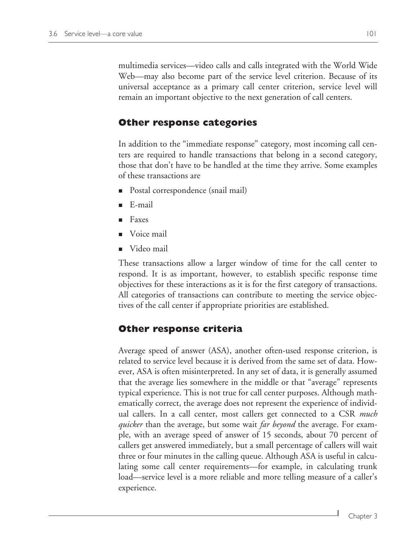multimedia services—video calls and calls integrated with the World Wide Web—may also become part of the service level criterion. Because of its universal acceptance as a primary call center criterion, service level will remain an important objective to the next generation of call centers.

## **Other response categories**

In addition to the "immediate response" category, most incoming call centers are required to handle transactions that belong in a second category, those that don't have to be handled at the time they arrive. Some examples of these transactions are

- Postal correspondence (snail mail)
- -E-mail
- -Faxes
- -Voice mail
- -Video mail

These transactions allow a larger window of time for the call center to respond. It is as important, however, to establish specific response time objectives for these interactions as it is for the first category of transactions. All categories of transactions can contribute to meeting the service objectives of the call center if appropriate priorities are established.

## **Other response criteria**

Average speed of answer (ASA), another often-used response criterion, is related to service level because it is derived from the same set of data. However, ASA is often misinterpreted. In any set of data, it is generally assumed that the average lies somewhere in the middle or that "average" represents typical experience. This is not true for call center purposes. Although mathematically correct, the average does not represent the experience of individual callers. In a call center, most callers get connected to a CSR *much quicker* than the average, but some wait *far beyond* the average. For example, with an average speed of answer of 15 seconds, about 70 percent of callers get answered immediately, but a small percentage of callers will wait three or four minutes in the calling queue. Although ASA is useful in calculating some call center requirements—for example, in calculating trunk load—service level is a more reliable and more telling measure of a caller's experience.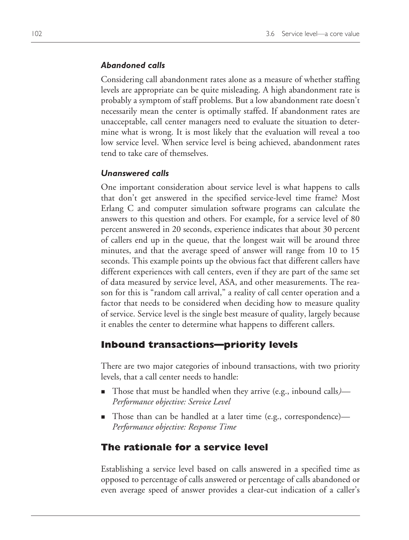### *Abandoned calls*

Considering call abandonment rates alone as a measure of whether staffing levels are appropriate can be quite misleading. A high abandonment rate is probably a symptom of staff problems. But a low abandonment rate doesn't necessarily mean the center is optimally staffed. If abandonment rates are unacceptable, call center managers need to evaluate the situation to determine what is wrong. It is most likely that the evaluation will reveal a too low service level. When service level is being achieved, abandonment rates tend to take care of themselves.

### *Unanswered calls*

One important consideration about service level is what happens to calls that don't get answered in the specified service-level time frame? Most Erlang C and computer simulation software programs can calculate the answers to this question and others. For example, for a service level of 80 percent answered in 20 seconds, experience indicates that about 30 percent of callers end up in the queue, that the longest wait will be around three minutes, and that the average speed of answer will range from 10 to 15 seconds. This example points up the obvious fact that different callers have different experiences with call centers, even if they are part of the same set of data measured by service level, ASA, and other measurements. The reason for this is "random call arrival," a reality of call center operation and a factor that needs to be considered when deciding how to measure quality of service. Service level is the single best measure of quality, largely because it enables the center to determine what happens to different callers.

## **Inbound transactions—priority levels**

There are two major categories of inbound transactions, with two priority levels, that a call center needs to handle:

- Those that must be handled when they arrive (e.g., inbound calls*) Performance objective: Service Level*
- $\blacksquare$  Those than can be handled at a later time (e.g., correspondence)— *Performance objective: Response Time*

# **The rationale for a service level**

Establishing a service level based on calls answered in a specified time as opposed to percentage of calls answered or percentage of calls abandoned or even average speed of answer provides a clear-cut indication of a caller's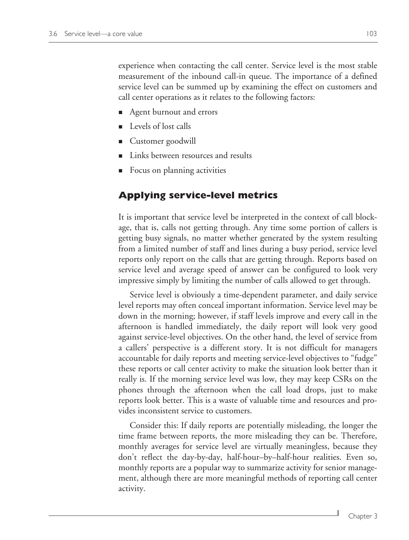experience when contacting the call center. Service level is the most stable measurement of the inbound call-in queue. The importance of a defined service level can be summed up by examining the effect on customers and call center operations as it relates to the following factors:

- -Agent burnout and errors
- -Levels of lost calls
- -Customer goodwill
- -Links between resources and results
- -Focus on planning activities

# **Applying service-level metrics**

It is important that service level be interpreted in the context of call blockage, that is, calls not getting through. Any time some portion of callers is getting busy signals, no matter whether generated by the system resulting from a limited number of staff and lines during a busy period, service level reports only report on the calls that are getting through. Reports based on service level and average speed of answer can be configured to look very impressive simply by limiting the number of calls allowed to get through.

Service level is obviously a time-dependent parameter, and daily service level reports may often conceal important information. Service level may be down in the morning; however, if staff levels improve and every call in the afternoon is handled immediately, the daily report will look very good against service-level objectives. On the other hand, the level of service from a callers' perspective is a different story. It is not difficult for managers accountable for daily reports and meeting service-level objectives to "fudge" these reports or call center activity to make the situation look better than it really is. If the morning service level was low, they may keep CSRs on the phones through the afternoon when the call load drops, just to make reports look better. This is a waste of valuable time and resources and provides inconsistent service to customers.

Consider this: If daily reports are potentially misleading, the longer the time frame between reports, the more misleading they can be. Therefore, monthly averages for service level are virtually meaningless, because they don't reflect the day-by-day, half-hour–by–half-hour realities. Even so, monthly reports are a popular way to summarize activity for senior management, although there are more meaningful methods of reporting call center activity.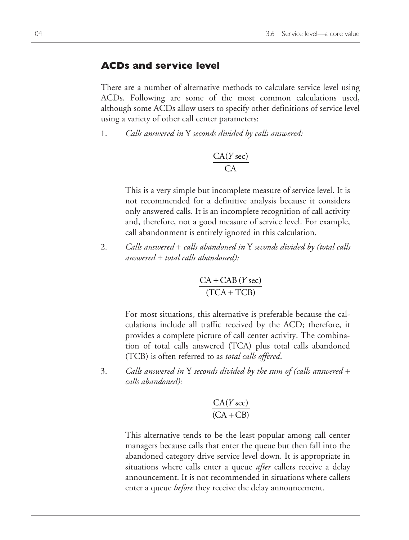## **ACDs and service level**

There are a number of alternative methods to calculate service level using ACDs. Following are some of the most common calculations used, although some ACDs allow users to specify other definitions of service level using a variety of other call center parameters:

1. *Calls answered in* Y *seconds divided by calls answered:*

$$
\frac{CA(Y \sec)}{CA}
$$

This is a very simple but incomplete measure of service level. It is not recommended for a definitive analysis because it considers only answered calls. It is an incomplete recognition of call activity and, therefore, not a good measure of service level. For example, call abandonment is entirely ignored in this calculation.

2. *Calls answered* + *calls abandoned in* Y *seconds divided by (total calls answered* + *total calls abandoned):*

$$
\frac{CA + CAB (Y sec)}{(TCA + TCB)}
$$

For most situations, this alternative is preferable because the calculations include all traffic received by the ACD; therefore, it provides a complete picture of call center activity. The combination of total calls answered (TCA) plus total calls abandoned (TCB) is often referred to as *total calls offered*.

3. *Calls answered in* Y *seconds divided by the sum of (calls answered* + *calls abandoned):*

$$
\frac{CA(Y \sec)}{(CA + CB)}
$$

This alternative tends to be the least popular among call center managers because calls that enter the queue but then fall into the abandoned category drive service level down. It is appropriate in situations where calls enter a queue *after* callers receive a delay announcement. It is not recommended in situations where callers enter a queue *before* they receive the delay announcement.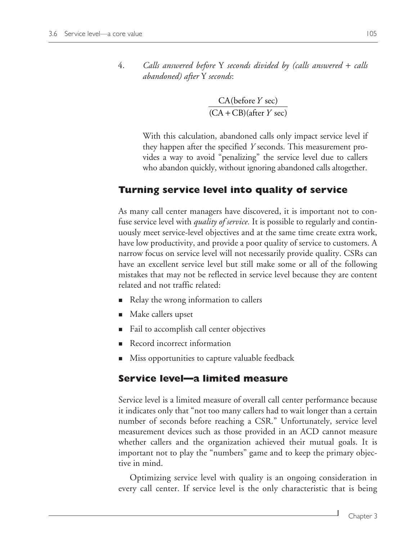4. *Calls answered before* Y *seconds divided by (calls answered* + *calls abandoned) after* Y *seconds*:

$$
\frac{CA(before Y sec)}{(CA + CB)(after Y sec)}
$$

With this calculation, abandoned calls only impact service level if they happen after the specified *Y* seconds. This measurement provides a way to avoid "penalizing" the service level due to callers who abandon quickly, without ignoring abandoned calls altogether.

# **Turning service level into quality of service**

As many call center managers have discovered, it is important not to confuse service level with *quality of service.* It is possible to regularly and continuously meet service-level objectives and at the same time create extra work, have low productivity, and provide a poor quality of service to customers. A narrow focus on service level will not necessarily provide quality. CSRs can have an excellent service level but still make some or all of the following mistakes that may not be reflected in service level because they are content related and not traffic related:

- -Relay the wrong information to callers
- -Make callers upset
- -Fail to accomplish call center objectives
- -Record incorrect information
- -Miss opportunities to capture valuable feedback

# **Service level—a limited measure**

Service level is a limited measure of overall call center performance because it indicates only that "not too many callers had to wait longer than a certain number of seconds before reaching a CSR." Unfortunately, service level measurement devices such as those provided in an ACD cannot measure whether callers and the organization achieved their mutual goals. It is important not to play the "numbers" game and to keep the primary objective in mind.

Optimizing service level with quality is an ongoing consideration in every call center. If service level is the only characteristic that is being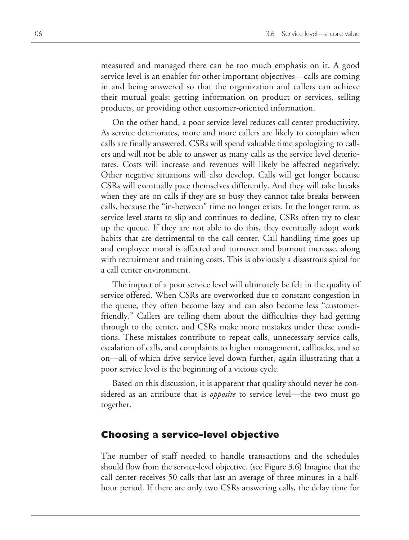measured and managed there can be too much emphasis on it. A good service level is an enabler for other important objectives—calls are coming in and being answered so that the organization and callers can achieve their mutual goals: getting information on product or services, selling products, or providing other customer-oriented information.

On the other hand, a poor service level reduces call center productivity. As service deteriorates, more and more callers are likely to complain when calls are finally answered. CSRs will spend valuable time apologizing to callers and will not be able to answer as many calls as the service level deteriorates. Costs will increase and revenues will likely be affected negatively. Other negative situations will also develop. Calls will get longer because CSRs will eventually pace themselves differently. And they will take breaks when they are on calls if they are so busy they cannot take breaks between calls, because the "in-between" time no longer exists. In the longer term, as service level starts to slip and continues to decline, CSRs often try to clear up the queue. If they are not able to do this, they eventually adopt work habits that are detrimental to the call center. Call handling time goes up and employee moral is affected and turnover and burnout increase, along with recruitment and training costs. This is obviously a disastrous spiral for a call center environment.

The impact of a poor service level will ultimately be felt in the quality of service offered. When CSRs are overworked due to constant congestion in the queue, they often become lazy and can also become less "customerfriendly." Callers are telling them about the difficulties they had getting through to the center, and CSRs make more mistakes under these conditions. These mistakes contribute to repeat calls, unnecessary service calls, escalation of calls, and complaints to higher management, callbacks, and so on—all of which drive service level down further, again illustrating that a poor service level is the beginning of a vicious cycle.

Based on this discussion, it is apparent that quality should never be considered as an attribute that is *opposite* to service level—the two must go together.

## **Choosing a service-level objective**

The number of staff needed to handle transactions and the schedules should flow from the service-level objective. (see Figure 3.6) Imagine that the call center receives 50 calls that last an average of three minutes in a halfhour period. If there are only two CSRs answering calls, the delay time for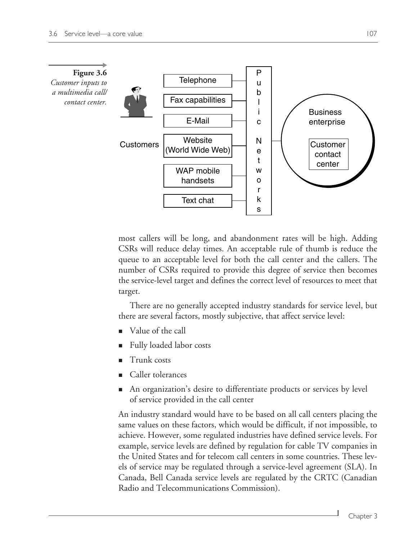

most callers will be long, and abandonment rates will be high. Adding CSRs will reduce delay times. An acceptable rule of thumb is reduce the queue to an acceptable level for both the call center and the callers. The number of CSRs required to provide this degree of service then becomes the service-level target and defines the correct level of resources to meet that target.

There are no generally accepted industry standards for service level, but there are several factors, mostly subjective, that affect service level:

- Value of the call
- -Fully loaded labor costs
- -Trunk costs
- -Caller tolerances
- An organization's desire to differentiate products or services by level of service provided in the call center

An industry standard would have to be based on all call centers placing the same values on these factors, which would be difficult, if not impossible, to achieve. However, some regulated industries have defined service levels. For example, service levels are defined by regulation for cable TV companies in the United States and for telecom call centers in some countries. These levels of service may be regulated through a service-level agreement (SLA). In Canada, Bell Canada service levels are regulated by the CRTC (Canadian Radio and Telecommunications Commission).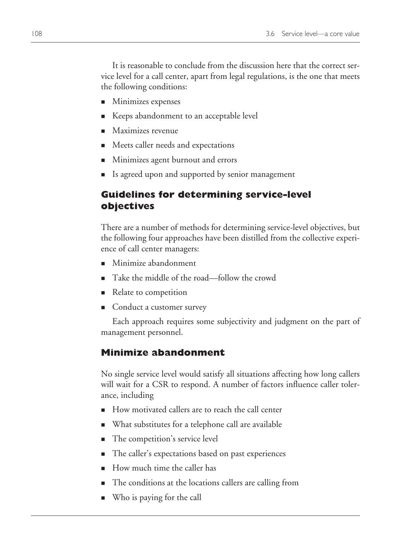It is reasonable to conclude from the discussion here that the correct service level for a call center, apart from legal regulations, is the one that meets the following conditions:

- **IN** Minimizes expenses
- -Keeps abandonment to an acceptable level
- -Maximizes revenue
- -Meets caller needs and expectations
- -Minimizes agent burnout and errors
- -Is agreed upon and supported by senior management

# **Guidelines for determining service-level objectives**

There are a number of methods for determining service-level objectives, but the following four approaches have been distilled from the collective experience of call center managers:

- -Minimize abandonment
- -Take the middle of the road—follow the crowd
- **Relate to competition**
- **EXECUTE:** Conduct a customer survey

Each approach requires some subjectivity and judgment on the part of management personnel.

## **Minimize abandonment**

No single service level would satisfy all situations affecting how long callers will wait for a CSR to respond. A number of factors influence caller tolerance, including

- How motivated callers are to reach the call center
- $\blacksquare$  What substitutes for a telephone call are available
- -The competition's service level
- -The caller's expectations based on past experiences
- -How much time the caller has
- -The conditions at the locations callers are calling from
- -Who is paying for the call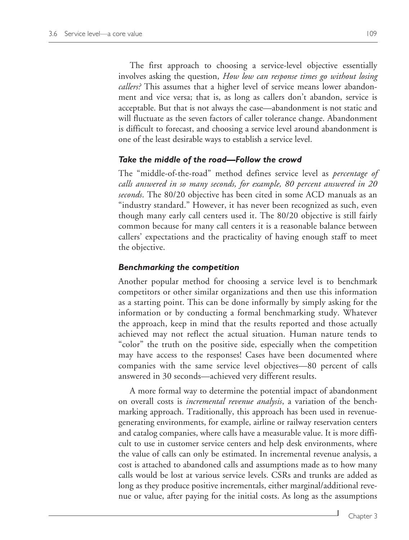The first approach to choosing a service-level objective essentially involves asking the question, *How low can response times go without losing callers?* This assumes that a higher level of service means lower abandonment and vice versa; that is, as long as callers don't abandon, service is acceptable. But that is not always the case—abandonment is not static and will fluctuate as the seven factors of caller tolerance change. Abandonment is difficult to forecast, and choosing a service level around abandonment is one of the least desirable ways to establish a service level.

## *Take the middle of the road—Follow the crowd*

The "middle-of-the-road" method defines service level as *percentage of calls answered in so many seconds, for example, 80 percent answered in 20 seconds*. The 80/20 objective has been cited in some ACD manuals as an "industry standard." However, it has never been recognized as such, even though many early call centers used it. The 80/20 objective is still fairly common because for many call centers it is a reasonable balance between callers' expectations and the practicality of having enough staff to meet the objective.

## *Benchmarking the competition*

Another popular method for choosing a service level is to benchmark competitors or other similar organizations and then use this information as a starting point. This can be done informally by simply asking for the information or by conducting a formal benchmarking study. Whatever the approach, keep in mind that the results reported and those actually achieved may not reflect the actual situation. Human nature tends to "color" the truth on the positive side, especially when the competition may have access to the responses! Cases have been documented where companies with the same service level objectives—80 percent of calls answered in 30 seconds—achieved very different results.

A more formal way to determine the potential impact of abandonment on overall costs is *incremental revenue analysis*, a variation of the benchmarking approach. Traditionally, this approach has been used in revenuegenerating environments, for example, airline or railway reservation centers and catalog companies, where calls have a measurable value. It is more difficult to use in customer service centers and help desk environments, where the value of calls can only be estimated. In incremental revenue analysis, a cost is attached to abandoned calls and assumptions made as to how many calls would be lost at various service levels. CSRs and trunks are added as long as they produce positive incrementals, either marginal/additional revenue or value, after paying for the initial costs. As long as the assumptions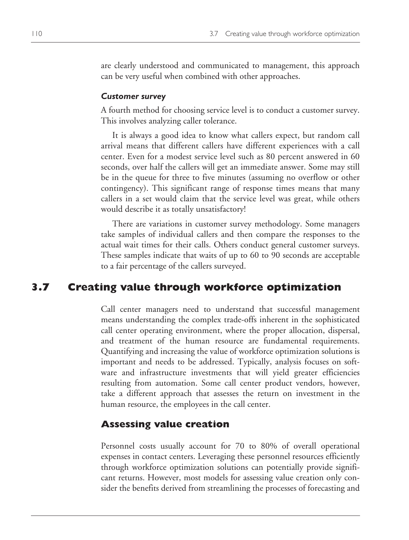are clearly understood and communicated to management, this approach can be very useful when combined with other approaches.

### *Customer survey*

A fourth method for choosing service level is to conduct a customer survey. This involves analyzing caller tolerance.

It is always a good idea to know what callers expect, but random call arrival means that different callers have different experiences with a call center. Even for a modest service level such as 80 percent answered in 60 seconds, over half the callers will get an immediate answer. Some may still be in the queue for three to five minutes (assuming no overflow or other contingency). This significant range of response times means that many callers in a set would claim that the service level was great, while others would describe it as totally unsatisfactory!

There are variations in customer survey methodology. Some managers take samples of individual callers and then compare the responses to the actual wait times for their calls. Others conduct general customer surveys. These samples indicate that waits of up to 60 to 90 seconds are acceptable to a fair percentage of the callers surveyed.

# **3.7 Creating value through workforce optimization**

Call center managers need to understand that successful management means understanding the complex trade-offs inherent in the sophisticated call center operating environment, where the proper allocation, dispersal, and treatment of the human resource are fundamental requirements. Quantifying and increasing the value of workforce optimization solutions is important and needs to be addressed. Typically, analysis focuses on software and infrastructure investments that will yield greater efficiencies resulting from automation. Some call center product vendors, however, take a different approach that assesses the return on investment in the human resource, the employees in the call center.

## **Assessing value creation**

Personnel costs usually account for 70 to 80% of overall operational expenses in contact centers. Leveraging these personnel resources efficiently through workforce optimization solutions can potentially provide significant returns. However, most models for assessing value creation only consider the benefits derived from streamlining the processes of forecasting and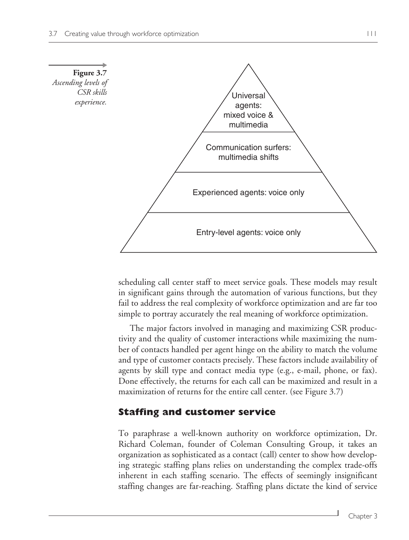

scheduling call center staff to meet service goals. These models may result in significant gains through the automation of various functions, but they fail to address the real complexity of workforce optimization and are far too simple to portray accurately the real meaning of workforce optimization.

The major factors involved in managing and maximizing CSR productivity and the quality of customer interactions while maximizing the number of contacts handled per agent hinge on the ability to match the volume and type of customer contacts precisely. These factors include availability of agents by skill type and contact media type (e.g., e-mail, phone, or fax). Done effectively, the returns for each call can be maximized and result in a maximization of returns for the entire call center. (see Figure 3.7)

# **Staffing and customer service**

To paraphrase a well-known authority on workforce optimization, Dr. Richard Coleman, founder of Coleman Consulting Group, it takes an organization as sophisticated as a contact (call) center to show how developing strategic staffing plans relies on understanding the complex trade-offs inherent in each staffing scenario. The effects of seemingly insignificant staffing changes are far-reaching. Staffing plans dictate the kind of service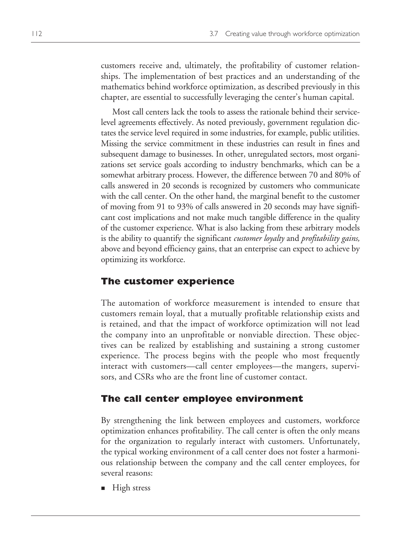customers receive and, ultimately, the profitability of customer relationships. The implementation of best practices and an understanding of the mathematics behind workforce optimization, as described previously in this chapter, are essential to successfully leveraging the center's human capital.

Most call centers lack the tools to assess the rationale behind their servicelevel agreements effectively. As noted previously, government regulation dictates the service level required in some industries, for example, public utilities. Missing the service commitment in these industries can result in fines and subsequent damage to businesses. In other, unregulated sectors, most organizations set service goals according to industry benchmarks, which can be a somewhat arbitrary process. However, the difference between 70 and 80% of calls answered in 20 seconds is recognized by customers who communicate with the call center. On the other hand, the marginal benefit to the customer of moving from 91 to 93% of calls answered in 20 seconds may have significant cost implications and not make much tangible difference in the quality of the customer experience. What is also lacking from these arbitrary models is the ability to quantify the significant *customer loyalty* and *profitability gains,* above and beyond efficiency gains, that an enterprise can expect to achieve by optimizing its workforce.

### **The customer experience**

The automation of workforce measurement is intended to ensure that customers remain loyal, that a mutually profitable relationship exists and is retained, and that the impact of workforce optimization will not lead the company into an unprofitable or nonviable direction. These objectives can be realized by establishing and sustaining a strong customer experience. The process begins with the people who most frequently interact with customers—call center employees—the mangers, supervisors, and CSRs who are the front line of customer contact.

## **The call center employee environment**

By strengthening the link between employees and customers, workforce optimization enhances profitability. The call center is often the only means for the organization to regularly interact with customers. Unfortunately, the typical working environment of a call center does not foster a harmonious relationship between the company and the call center employees, for several reasons:

■ High stress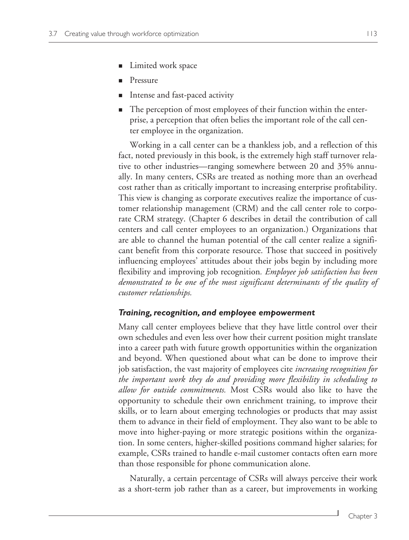- -Limited work space
- -Pressure
- -Intense and fast-paced activity
- - The perception of most employees of their function within the enterprise, a perception that often belies the important role of the call center employee in the organization.

Working in a call center can be a thankless job, and a reflection of this fact, noted previously in this book, is the extremely high staff turnover relative to other industries—ranging somewhere between 20 and 35% annually. In many centers, CSRs are treated as nothing more than an overhead cost rather than as critically important to increasing enterprise profitability. This view is changing as corporate executives realize the importance of customer relationship management (CRM) and the call center role to corporate CRM strategy. (Chapter 6 describes in detail the contribution of call centers and call center employees to an organization.) Organizations that are able to channel the human potential of the call center realize a significant benefit from this corporate resource. Those that succeed in positively influencing employees' attitudes about their jobs begin by including more flexibility and improving job recognition*. Employee job satisfaction has been demonstrated to be one of the most significant determinants of the quality of customer relationships.*

### *Training, recognition, and employee empowerment*

Many call center employees believe that they have little control over their own schedules and even less over how their current position might translate into a career path with future growth opportunities within the organization and beyond. When questioned about what can be done to improve their job satisfaction, the vast majority of employees cite *increasing recognition for the important work they do and providing more flexibility in scheduling to allow for outside commitments.* Most CSRs would also like to have the opportunity to schedule their own enrichment training, to improve their skills, or to learn about emerging technologies or products that may assist them to advance in their field of employment. They also want to be able to move into higher-paying or more strategic positions within the organization. In some centers, higher-skilled positions command higher salaries; for example, CSRs trained to handle e-mail customer contacts often earn more than those responsible for phone communication alone.

Naturally, a certain percentage of CSRs will always perceive their work as a short-term job rather than as a career, but improvements in working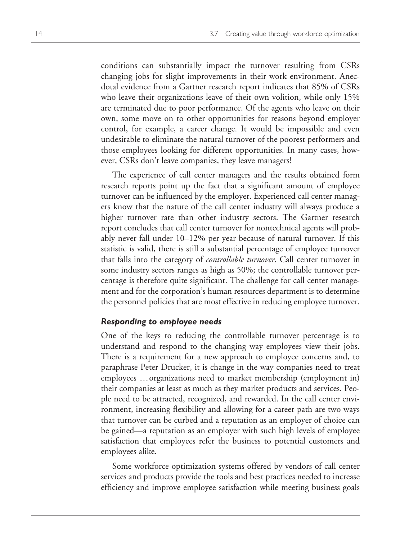conditions can substantially impact the turnover resulting from CSRs changing jobs for slight improvements in their work environment. Anecdotal evidence from a Gartner research report indicates that 85% of CSRs who leave their organizations leave of their own volition, while only 15% are terminated due to poor performance. Of the agents who leave on their own, some move on to other opportunities for reasons beyond employer control, for example, a career change. It would be impossible and even undesirable to eliminate the natural turnover of the poorest performers and those employees looking for different opportunities. In many cases, however, CSRs don't leave companies, they leave managers!

The experience of call center managers and the results obtained form research reports point up the fact that a significant amount of employee turnover can be influenced by the employer. Experienced call center managers know that the nature of the call center industry will always produce a higher turnover rate than other industry sectors. The Gartner research report concludes that call center turnover for nontechnical agents will probably never fall under 10–12% per year because of natural turnover. If this statistic is valid, there is still a substantial percentage of employee turnover that falls into the category of *controllable turnover*. Call center turnover in some industry sectors ranges as high as 50%; the controllable turnover percentage is therefore quite significant. The challenge for call center management and for the corporation's human resources department is to determine the personnel policies that are most effective in reducing employee turnover.

### *Responding to employee needs*

One of the keys to reducing the controllable turnover percentage is to understand and respond to the changing way employees view their jobs. There is a requirement for a new approach to employee concerns and, to paraphrase Peter Drucker, it is change in the way companies need to treat employees …organizations need to market membership (employment in) their companies at least as much as they market products and services. People need to be attracted, recognized, and rewarded. In the call center environment, increasing flexibility and allowing for a career path are two ways that turnover can be curbed and a reputation as an employer of choice can be gained—a reputation as an employer with such high levels of employee satisfaction that employees refer the business to potential customers and employees alike.

Some workforce optimization systems offered by vendors of call center services and products provide the tools and best practices needed to increase efficiency and improve employee satisfaction while meeting business goals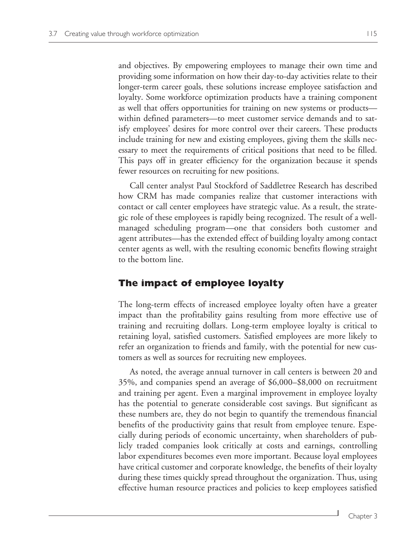and objectives. By empowering employees to manage their own time and providing some information on how their day-to-day activities relate to their longer-term career goals, these solutions increase employee satisfaction and loyalty. Some workforce optimization products have a training component as well that offers opportunities for training on new systems or products within defined parameters—to meet customer service demands and to satisfy employees' desires for more control over their careers. These products include training for new and existing employees, giving them the skills necessary to meet the requirements of critical positions that need to be filled. This pays off in greater efficiency for the organization because it spends fewer resources on recruiting for new positions.

Call center analyst Paul Stockford of Saddletree Research has described how CRM has made companies realize that customer interactions with contact or call center employees have strategic value. As a result, the strategic role of these employees is rapidly being recognized. The result of a wellmanaged scheduling program—one that considers both customer and agent attributes—has the extended effect of building loyalty among contact center agents as well, with the resulting economic benefits flowing straight to the bottom line.

# **The impact of employee loyalty**

The long-term effects of increased employee loyalty often have a greater impact than the profitability gains resulting from more effective use of training and recruiting dollars. Long-term employee loyalty is critical to retaining loyal, satisfied customers. Satisfied employees are more likely to refer an organization to friends and family, with the potential for new customers as well as sources for recruiting new employees.

As noted, the average annual turnover in call centers is between 20 and 35%, and companies spend an average of \$6,000–\$8,000 on recruitment and training per agent. Even a marginal improvement in employee loyalty has the potential to generate considerable cost savings. But significant as these numbers are, they do not begin to quantify the tremendous financial benefits of the productivity gains that result from employee tenure. Especially during periods of economic uncertainty, when shareholders of publicly traded companies look critically at costs and earnings, controlling labor expenditures becomes even more important. Because loyal employees have critical customer and corporate knowledge, the benefits of their loyalty during these times quickly spread throughout the organization. Thus, using effective human resource practices and policies to keep employees satisfied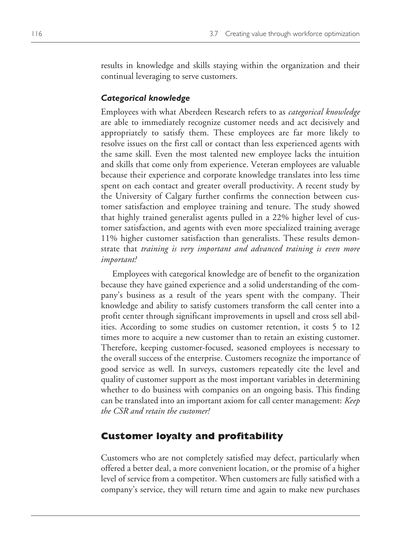results in knowledge and skills staying within the organization and their continual leveraging to serve customers.

### *Categorical knowledge*

Employees with what Aberdeen Research refers to as *categorical knowledge* are able to immediately recognize customer needs and act decisively and appropriately to satisfy them. These employees are far more likely to resolve issues on the first call or contact than less experienced agents with the same skill. Even the most talented new employee lacks the intuition and skills that come only from experience. Veteran employees are valuable because their experience and corporate knowledge translates into less time spent on each contact and greater overall productivity. A recent study by the University of Calgary further confirms the connection between customer satisfaction and employee training and tenure. The study showed that highly trained generalist agents pulled in a 22% higher level of customer satisfaction, and agents with even more specialized training average 11% higher customer satisfaction than generalists. These results demonstrate that *training is very important and advanced training is even more important!*

Employees with categorical knowledge are of benefit to the organization because they have gained experience and a solid understanding of the company's business as a result of the years spent with the company. Their knowledge and ability to satisfy customers transform the call center into a profit center through significant improvements in upsell and cross sell abilities. According to some studies on customer retention, it costs 5 to 12 times more to acquire a new customer than to retain an existing customer. Therefore, keeping customer-focused, seasoned employees is necessary to the overall success of the enterprise. Customers recognize the importance of good service as well. In surveys, customers repeatedly cite the level and quality of customer support as the most important variables in determining whether to do business with companies on an ongoing basis. This finding can be translated into an important axiom for call center management: *Keep the CSR and retain the customer!*

# **Customer loyalty and profitability**

Customers who are not completely satisfied may defect, particularly when offered a better deal, a more convenient location, or the promise of a higher level of service from a competitor. When customers are fully satisfied with a company's service, they will return time and again to make new purchases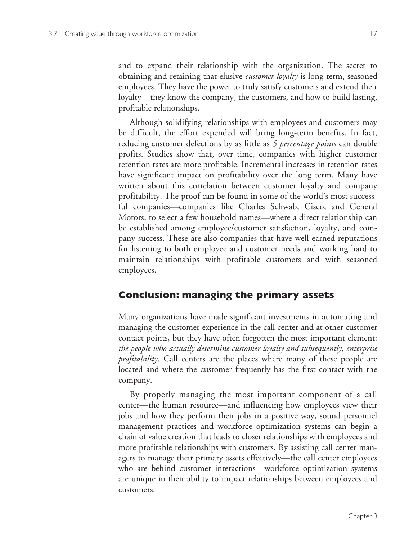and to expand their relationship with the organization. The secret to obtaining and retaining that elusive *customer loyalty* is long-term, seasoned employees. They have the power to truly satisfy customers and extend their loyalty—they know the company, the customers, and how to build lasting, profitable relationships.

Although solidifying relationships with employees and customers may be difficult, the effort expended will bring long-term benefits. In fact, reducing customer defections by as little as *5 percentage points* can double profits. Studies show that, over time, companies with higher customer retention rates are more profitable. Incremental increases in retention rates have significant impact on profitability over the long term. Many have written about this correlation between customer loyalty and company profitability. The proof can be found in some of the world's most successful companies—companies like Charles Schwab, Cisco, and General Motors, to select a few household names—where a direct relationship can be established among employee/customer satisfaction, loyalty, and company success. These are also companies that have well-earned reputations for listening to both employee and customer needs and working hard to maintain relationships with profitable customers and with seasoned employees.

# **Conclusion: managing the primary assets**

Many organizations have made significant investments in automating and managing the customer experience in the call center and at other customer contact points, but they have often forgotten the most important element: *the people who actually determine customer loyalty and subsequently, enterprise profitability*. Call centers are the places where many of these people are located and where the customer frequently has the first contact with the company.

By properly managing the most important component of a call center—the human resource—and influencing how employees view their jobs and how they perform their jobs in a positive way, sound personnel management practices and workforce optimization systems can begin a chain of value creation that leads to closer relationships with employees and more profitable relationships with customers. By assisting call center managers to manage their primary assets effectively—the call center employees who are behind customer interactions—workforce optimization systems are unique in their ability to impact relationships between employees and customers.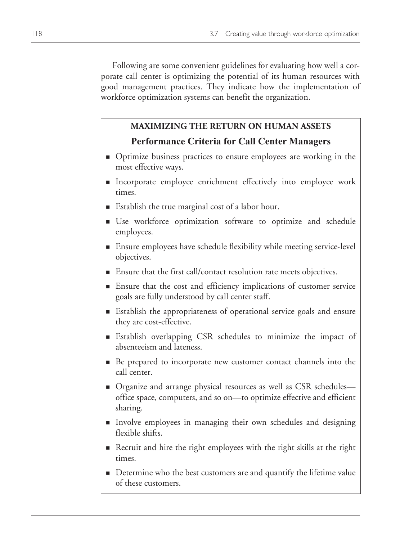Following are some convenient guidelines for evaluating how well a corporate call center is optimizing the potential of its human resources with good management practices. They indicate how the implementation of workforce optimization systems can benefit the organization.

# **MAXIMIZING THE RETURN ON HUMAN ASSETS Performance Criteria for Call Center Managers**

- Optimize business practices to ensure employees are working in the most effective ways.
- Incorporate employee enrichment effectively into employee work times.
- **E** Establish the true marginal cost of a labor hour.
- Use workforce optimization software to optimize and schedule employees.
- Ensure employees have schedule flexibility while meeting service-level objectives.
- Ensure that the first call/contact resolution rate meets objectives.
- **Ensure that the cost and efficiency implications of customer service** goals are fully understood by call center staff.
- **E** Establish the appropriateness of operational service goals and ensure they are cost-effective.
- **Establish overlapping CSR schedules to minimize the impact of** absenteeism and lateness.
- Be prepared to incorporate new customer contact channels into the call center.
- Organize and arrange physical resources as well as CSR schedules office space, computers, and so on—to optimize effective and efficient sharing.
- Involve employees in managing their own schedules and designing flexible shifts.
- $\blacksquare$  Recruit and hire the right employees with the right skills at the right times.
- Determine who the best customers are and quantify the lifetime value of these customers.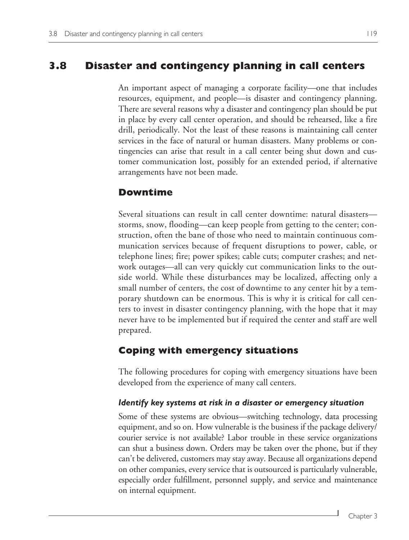# **3.8 Disaster and contingency planning in call centers**

An important aspect of managing a corporate facility—one that includes resources, equipment, and people—is disaster and contingency planning. There are several reasons why a disaster and contingency plan should be put in place by every call center operation, and should be rehearsed, like a fire drill, periodically. Not the least of these reasons is maintaining call center services in the face of natural or human disasters. Many problems or contingencies can arise that result in a call center being shut down and customer communication lost, possibly for an extended period, if alternative arrangements have not been made.

## **Downtime**

Several situations can result in call center downtime: natural disasters storms, snow, flooding—can keep people from getting to the center; construction, often the bane of those who need to maintain continuous communication services because of frequent disruptions to power, cable, or telephone lines; fire; power spikes; cable cuts; computer crashes; and network outages—all can very quickly cut communication links to the outside world. While these disturbances may be localized, affecting only a small number of centers, the cost of downtime to any center hit by a temporary shutdown can be enormous. This is why it is critical for call centers to invest in disaster contingency planning, with the hope that it may never have to be implemented but if required the center and staff are well prepared.

# **Coping with emergency situations**

The following procedures for coping with emergency situations have been developed from the experience of many call centers.

### *Identify key systems at risk in a disaster or emergency situation*

Some of these systems are obvious—switching technology, data processing equipment, and so on. How vulnerable is the business if the package delivery/ courier service is not available? Labor trouble in these service organizations can shut a business down. Orders may be taken over the phone, but if they can't be delivered, customers may stay away. Because all organizations depend on other companies, every service that is outsourced is particularly vulnerable, especially order fulfillment, personnel supply, and service and maintenance on internal equipment.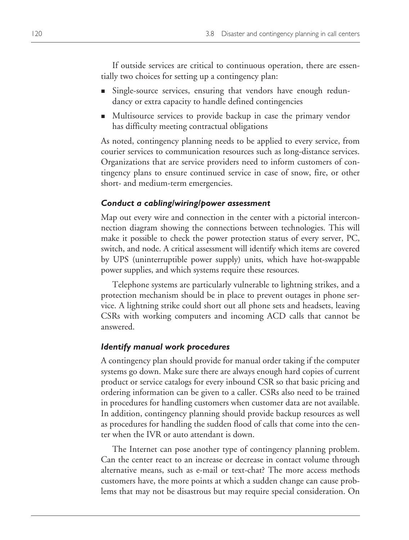If outside services are critical to continuous operation, there are essentially two choices for setting up a contingency plan:

- **Example-source services, ensuring that vendors have enough redun**dancy or extra capacity to handle defined contingencies
- Multisource services to provide backup in case the primary vendor has difficulty meeting contractual obligations

As noted, contingency planning needs to be applied to every service, from courier services to communication resources such as long-distance services. Organizations that are service providers need to inform customers of contingency plans to ensure continued service in case of snow, fire, or other short- and medium-term emergencies.

### *Conduct a cabling/wiring/power assessment*

Map out every wire and connection in the center with a pictorial interconnection diagram showing the connections between technologies. This will make it possible to check the power protection status of every server, PC, switch, and node. A critical assessment will identify which items are covered by UPS (uninterruptible power supply) units, which have hot-swappable power supplies, and which systems require these resources.

Telephone systems are particularly vulnerable to lightning strikes, and a protection mechanism should be in place to prevent outages in phone service. A lightning strike could short out all phone sets and headsets, leaving CSRs with working computers and incoming ACD calls that cannot be answered.

### *Identify manual work procedures*

A contingency plan should provide for manual order taking if the computer systems go down. Make sure there are always enough hard copies of current product or service catalogs for every inbound CSR so that basic pricing and ordering information can be given to a caller. CSRs also need to be trained in procedures for handling customers when customer data are not available. In addition, contingency planning should provide backup resources as well as procedures for handling the sudden flood of calls that come into the center when the IVR or auto attendant is down.

The Internet can pose another type of contingency planning problem. Can the center react to an increase or decrease in contact volume through alternative means, such as e-mail or text-chat? The more access methods customers have, the more points at which a sudden change can cause problems that may not be disastrous but may require special consideration. On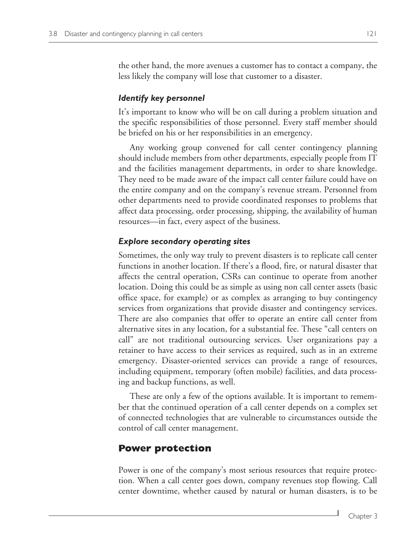the other hand, the more avenues a customer has to contact a company, the less likely the company will lose that customer to a disaster.

### *Identify key personnel*

It's important to know who will be on call during a problem situation and the specific responsibilities of those personnel. Every staff member should be briefed on his or her responsibilities in an emergency.

Any working group convened for call center contingency planning should include members from other departments, especially people from IT and the facilities management departments, in order to share knowledge. They need to be made aware of the impact call center failure could have on the entire company and on the company's revenue stream. Personnel from other departments need to provide coordinated responses to problems that affect data processing, order processing, shipping, the availability of human resources—in fact, every aspect of the business.

### *Explore secondary operating sites*

Sometimes, the only way truly to prevent disasters is to replicate call center functions in another location. If there's a flood, fire, or natural disaster that affects the central operation, CSRs can continue to operate from another location. Doing this could be as simple as using non call center assets (basic office space, for example) or as complex as arranging to buy contingency services from organizations that provide disaster and contingency services. There are also companies that offer to operate an entire call center from alternative sites in any location, for a substantial fee. These "call centers on call" are not traditional outsourcing services. User organizations pay a retainer to have access to their services as required, such as in an extreme emergency. Disaster-oriented services can provide a range of resources, including equipment, temporary (often mobile) facilities, and data processing and backup functions, as well.

These are only a few of the options available. It is important to remember that the continued operation of a call center depends on a complex set of connected technologies that are vulnerable to circumstances outside the control of call center management.

## **Power protection**

Power is one of the company's most serious resources that require protection. When a call center goes down, company revenues stop flowing. Call center downtime, whether caused by natural or human disasters, is to be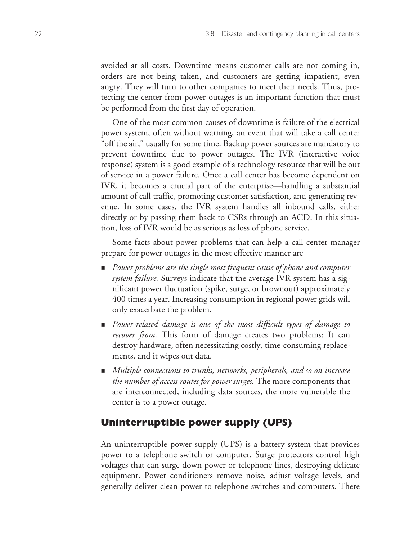avoided at all costs. Downtime means customer calls are not coming in, orders are not being taken, and customers are getting impatient, even angry. They will turn to other companies to meet their needs. Thus, protecting the center from power outages is an important function that must be performed from the first day of operation.

One of the most common causes of downtime is failure of the electrical power system, often without warning, an event that will take a call center "off the air," usually for some time. Backup power sources are mandatory to prevent downtime due to power outages. The IVR (interactive voice response) system is a good example of a technology resource that will be out of service in a power failure. Once a call center has become dependent on IVR, it becomes a crucial part of the enterprise—handling a substantial amount of call traffic, promoting customer satisfaction, and generating revenue. In some cases, the IVR system handles all inbound calls, either directly or by passing them back to CSRs through an ACD. In this situation, loss of IVR would be as serious as loss of phone service.

Some facts about power problems that can help a call center manager prepare for power outages in the most effective manner are

- - *Power problems are the single most frequent cause of phone and computer system failure.* Surveys indicate that the average IVR system has a significant power fluctuation (spike, surge, or brownout) approximately 400 times a year. Increasing consumption in regional power grids will only exacerbate the problem.
- - *Power-related damage is one of the most difficult types of damage to recover from*. This form of damage creates two problems: It can destroy hardware, often necessitating costly, time-consuming replacements, and it wipes out data.
- *Multiple connections to trunks, networks, peripherals, and so on increase the number of access routes for power surges.* The more components that are interconnected, including data sources, the more vulnerable the center is to a power outage.

# **Uninterruptible power supply (UPS)**

An uninterruptible power supply (UPS) is a battery system that provides power to a telephone switch or computer. Surge protectors control high voltages that can surge down power or telephone lines, destroying delicate equipment. Power conditioners remove noise, adjust voltage levels, and generally deliver clean power to telephone switches and computers. There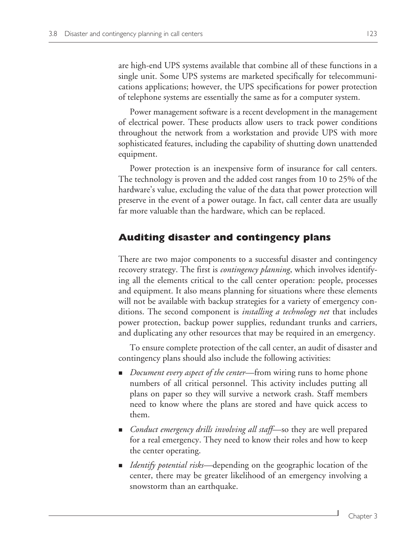are high-end UPS systems available that combine all of these functions in a single unit. Some UPS systems are marketed specifically for telecommunications applications; however, the UPS specifications for power protection of telephone systems are essentially the same as for a computer system.

Power management software is a recent development in the management of electrical power. These products allow users to track power conditions throughout the network from a workstation and provide UPS with more sophisticated features, including the capability of shutting down unattended equipment.

Power protection is an inexpensive form of insurance for call centers. The technology is proven and the added cost ranges from 10 to 25% of the hardware's value, excluding the value of the data that power protection will preserve in the event of a power outage. In fact, call center data are usually far more valuable than the hardware, which can be replaced.

# **Auditing disaster and contingency plans**

There are two major components to a successful disaster and contingency recovery strategy. The first is *contingency planning*, which involves identifying all the elements critical to the call center operation: people, processes and equipment. It also means planning for situations where these elements will not be available with backup strategies for a variety of emergency conditions. The second component is *installing a technology net* that includes power protection, backup power supplies, redundant trunks and carriers, and duplicating any other resources that may be required in an emergency.

To ensure complete protection of the call center, an audit of disaster and contingency plans should also include the following activities:

- *Document every aspect of the center*—from wiring runs to home phone numbers of all critical personnel. This activity includes putting all plans on paper so they will survive a network crash. Staff members need to know where the plans are stored and have quick access to them.
- *Conduct emergency drills involving all staff*—so they are well prepared for a real emergency. They need to know their roles and how to keep the center operating.
- **I** *Identify potential risks*—depending on the geographic location of the center, there may be greater likelihood of an emergency involving a snowstorm than an earthquake.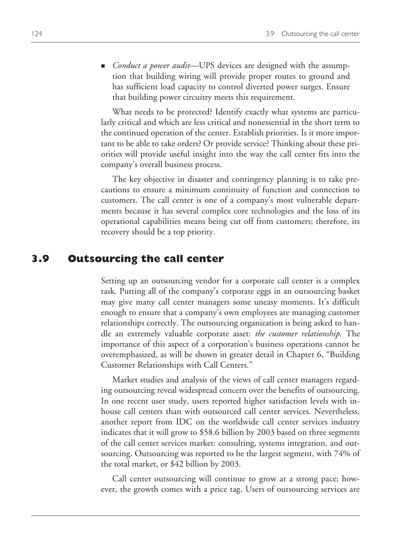- *Conduct a power audit*—UPS devices are designed with the assumption that building wiring will provide proper routes to ground and has sufficient load capacity to control diverted power surges. Ensure that building power circuitry meets this requirement.

What needs to be protected? Identify exactly what systems are particularly critical and which are less critical and nonessential in the short term to the continued operation of the center. Establish priorities. Is it more important to be able to take orders? Or provide service? Thinking about these priorities will provide useful insight into the way the call center fits into the company's overall business process.

The key objective in disaster and contingency planning is to take precautions to ensure a minimum continuity of function and connection to customers. The call center is one of a company's most vulnerable departments because it has several complex core technologies and the loss of its operational capabilities means being cut off from customers; therefore, its recovery should be a top priority.

# **3.9 Outsourcing the call center**

Setting up an outsourcing vendor for a corporate call center is a complex task. Putting all of the company's corporate eggs in an outsourcing basket may give many call center managers some uneasy moments. It's difficult enough to ensure that a company's own employees are managing customer relationships correctly. The outsourcing organization is being asked to handle an extremely valuable corporate asset: *the customer relationship.* The importance of this aspect of a corporation's business operations cannot be overemphasized, as will be shown in greater detail in Chapter 6, "Building Customer Relationships with Call Centers."

Market studies and analysis of the views of call center managers regarding outsourcing reveal widespread concern over the benefits of outsourcing. In one recent user study, users reported higher satisfaction levels with inhouse call centers than with outsourced call center services. Nevertheless, another report from IDC on the worldwide call center services industry indicates that it will grow to \$58.6 billion by 2003 based on three segments of the call center services market: consulting, systems integration, and outsourcing. Outsourcing was reported to be the largest segment, with 74% of the total market, or \$42 billion by 2003.

Call center outsourcing will continue to grow at a strong pace; however, the growth comes with a price tag. Users of outsourcing services are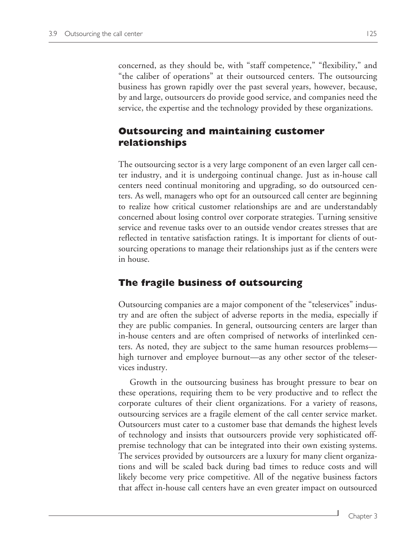concerned, as they should be, with "staff competence," "flexibility," and "the caliber of operations" at their outsourced centers. The outsourcing business has grown rapidly over the past several years, however, because, by and large, outsourcers do provide good service, and companies need the service, the expertise and the technology provided by these organizations.

# **Outsourcing and maintaining customer relationships**

The outsourcing sector is a very large component of an even larger call center industry, and it is undergoing continual change. Just as in-house call centers need continual monitoring and upgrading, so do outsourced centers. As well, managers who opt for an outsourced call center are beginning to realize how critical customer relationships are and are understandably concerned about losing control over corporate strategies. Turning sensitive service and revenue tasks over to an outside vendor creates stresses that are reflected in tentative satisfaction ratings. It is important for clients of outsourcing operations to manage their relationships just as if the centers were in house.

# **The fragile business of outsourcing**

Outsourcing companies are a major component of the "teleservices" industry and are often the subject of adverse reports in the media, especially if they are public companies. In general, outsourcing centers are larger than in-house centers and are often comprised of networks of interlinked centers. As noted, they are subject to the same human resources problems high turnover and employee burnout—as any other sector of the teleservices industry.

Growth in the outsourcing business has brought pressure to bear on these operations, requiring them to be very productive and to reflect the corporate cultures of their client organizations. For a variety of reasons, outsourcing services are a fragile element of the call center service market. Outsourcers must cater to a customer base that demands the highest levels of technology and insists that outsourcers provide very sophisticated offpremise technology that can be integrated into their own existing systems. The services provided by outsourcers are a luxury for many client organizations and will be scaled back during bad times to reduce costs and will likely become very price competitive. All of the negative business factors that affect in-house call centers have an even greater impact on outsourced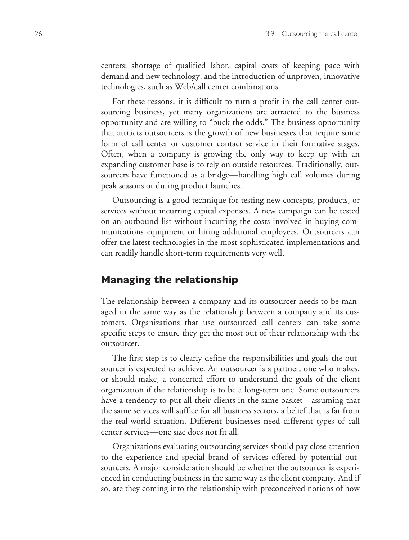centers: shortage of qualified labor, capital costs of keeping pace with demand and new technology, and the introduction of unproven, innovative technologies, such as Web/call center combinations.

For these reasons, it is difficult to turn a profit in the call center outsourcing business, yet many organizations are attracted to the business opportunity and are willing to "buck the odds." The business opportunity that attracts outsourcers is the growth of new businesses that require some form of call center or customer contact service in their formative stages. Often, when a company is growing the only way to keep up with an expanding customer base is to rely on outside resources. Traditionally, outsourcers have functioned as a bridge—handling high call volumes during peak seasons or during product launches.

Outsourcing is a good technique for testing new concepts, products, or services without incurring capital expenses. A new campaign can be tested on an outbound list without incurring the costs involved in buying communications equipment or hiring additional employees. Outsourcers can offer the latest technologies in the most sophisticated implementations and can readily handle short-term requirements very well.

### **Managing the relationship**

The relationship between a company and its outsourcer needs to be managed in the same way as the relationship between a company and its customers. Organizations that use outsourced call centers can take some specific steps to ensure they get the most out of their relationship with the outsourcer.

The first step is to clearly define the responsibilities and goals the outsourcer is expected to achieve. An outsourcer is a partner, one who makes, or should make, a concerted effort to understand the goals of the client organization if the relationship is to be a long-term one. Some outsourcers have a tendency to put all their clients in the same basket—assuming that the same services will suffice for all business sectors, a belief that is far from the real-world situation. Different businesses need different types of call center services—one size does not fit all!

Organizations evaluating outsourcing services should pay close attention to the experience and special brand of services offered by potential outsourcers. A major consideration should be whether the outsourcer is experienced in conducting business in the same way as the client company. And if so, are they coming into the relationship with preconceived notions of how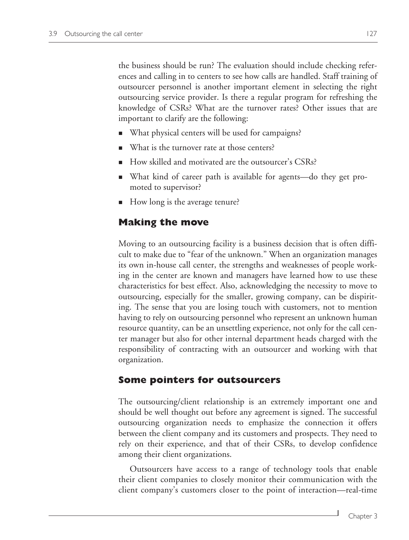the business should be run? The evaluation should include checking references and calling in to centers to see how calls are handled. Staff training of outsourcer personnel is another important element in selecting the right outsourcing service provider. Is there a regular program for refreshing the knowledge of CSRs? What are the turnover rates? Other issues that are important to clarify are the following:

- What physical centers will be used for campaigns?
- -What is the turnover rate at those centers?
- -How skilled and motivated are the outsourcer's CSRs?
- What kind of career path is available for agents—do they get promoted to supervisor?
- -How long is the average tenure?

# **Making the move**

Moving to an outsourcing facility is a business decision that is often difficult to make due to "fear of the unknown." When an organization manages its own in-house call center, the strengths and weaknesses of people working in the center are known and managers have learned how to use these characteristics for best effect. Also, acknowledging the necessity to move to outsourcing, especially for the smaller, growing company, can be dispiriting. The sense that you are losing touch with customers, not to mention having to rely on outsourcing personnel who represent an unknown human resource quantity, can be an unsettling experience, not only for the call center manager but also for other internal department heads charged with the responsibility of contracting with an outsourcer and working with that organization.

# **Some pointers for outsourcers**

The outsourcing/client relationship is an extremely important one and should be well thought out before any agreement is signed. The successful outsourcing organization needs to emphasize the connection it offers between the client company and its customers and prospects. They need to rely on their experience, and that of their CSRs, to develop confidence among their client organizations.

Outsourcers have access to a range of technology tools that enable their client companies to closely monitor their communication with the client company's customers closer to the point of interaction—real-time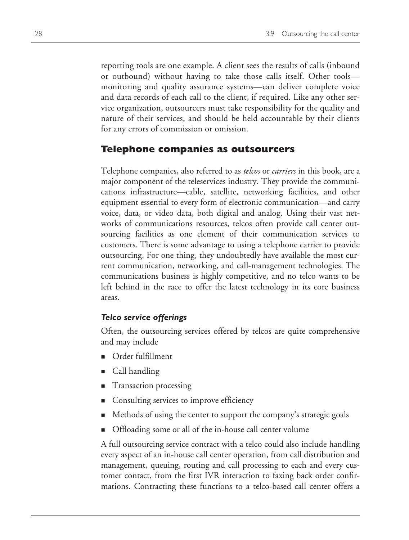reporting tools are one example. A client sees the results of calls (inbound or outbound) without having to take those calls itself. Other tools monitoring and quality assurance systems—can deliver complete voice and data records of each call to the client, if required. Like any other service organization, outsourcers must take responsibility for the quality and nature of their services, and should be held accountable by their clients for any errors of commission or omission.

## **Telephone companies as outsourcers**

Telephone companies, also referred to as *telcos* or *carriers* in this book, are a major component of the teleservices industry. They provide the communications infrastructure—cable, satellite, networking facilities, and other equipment essential to every form of electronic communication—and carry voice, data, or video data, both digital and analog. Using their vast networks of communications resources, telcos often provide call center outsourcing facilities as one element of their communication services to customers. There is some advantage to using a telephone carrier to provide outsourcing. For one thing, they undoubtedly have available the most current communication, networking, and call-management technologies. The communications business is highly competitive, and no telco wants to be left behind in the race to offer the latest technology in its core business areas.

### *Telco service offerings*

Often, the outsourcing services offered by telcos are quite comprehensive and may include

- -Order fulfillment
- -Call handling
- -Transaction processing
- **EXECONSULTING SERVICES TO IMPROVE Efficiency**
- -Methods of using the center to support the company's strategic goals
- -Offloading some or all of the in-house call center volume

A full outsourcing service contract with a telco could also include handling every aspect of an in-house call center operation, from call distribution and management, queuing, routing and call processing to each and every customer contact, from the first IVR interaction to faxing back order confirmations. Contracting these functions to a telco-based call center offers a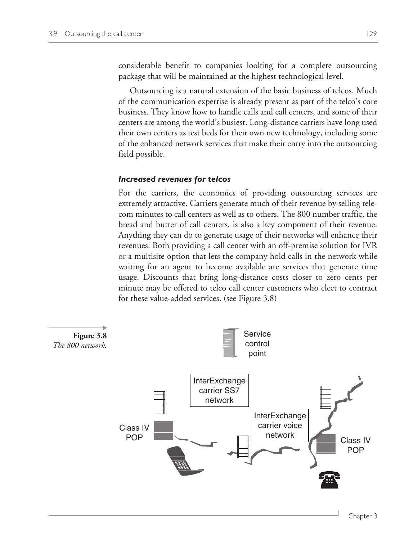considerable benefit to companies looking for a complete outsourcing package that will be maintained at the highest technological level.

Outsourcing is a natural extension of the basic business of telcos. Much of the communication expertise is already present as part of the telco's core business. They know how to handle calls and call centers, and some of their centers are among the world's busiest. Long-distance carriers have long used their own centers as test beds for their own new technology, including some of the enhanced network services that make their entry into the outsourcing field possible.

### *Increased revenues for telcos*

For the carriers, the economics of providing outsourcing services are extremely attractive. Carriers generate much of their revenue by selling telecom minutes to call centers as well as to others. The 800 number traffic, the bread and butter of call centers, is also a key component of their revenue. Anything they can do to generate usage of their networks will enhance their revenues. Both providing a call center with an off-premise solution for IVR or a multisite option that lets the company hold calls in the network while waiting for an agent to become available are services that generate time usage. Discounts that bring long-distance costs closer to zero cents per minute may be offered to telco call center customers who elect to contract for these value-added services. (see Figure 3.8)

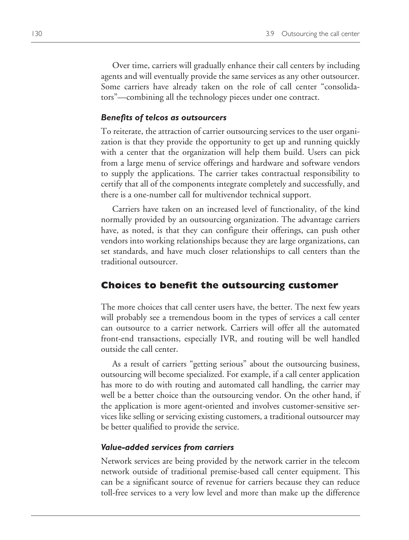Over time, carriers will gradually enhance their call centers by including agents and will eventually provide the same services as any other outsourcer. Some carriers have already taken on the role of call center "consolidators"—combining all the technology pieces under one contract.

### *Benefits of telcos as outsourcers*

To reiterate, the attraction of carrier outsourcing services to the user organization is that they provide the opportunity to get up and running quickly with a center that the organization will help them build. Users can pick from a large menu of service offerings and hardware and software vendors to supply the applications. The carrier takes contractual responsibility to certify that all of the components integrate completely and successfully, and there is a one-number call for multivendor technical support.

Carriers have taken on an increased level of functionality, of the kind normally provided by an outsourcing organization. The advantage carriers have, as noted, is that they can configure their offerings, can push other vendors into working relationships because they are large organizations, can set standards, and have much closer relationships to call centers than the traditional outsourcer.

## **Choices to benefit the outsourcing customer**

The more choices that call center users have, the better. The next few years will probably see a tremendous boom in the types of services a call center can outsource to a carrier network. Carriers will offer all the automated front-end transactions, especially IVR, and routing will be well handled outside the call center.

As a result of carriers "getting serious" about the outsourcing business, outsourcing will become specialized. For example, if a call center application has more to do with routing and automated call handling, the carrier may well be a better choice than the outsourcing vendor. On the other hand, if the application is more agent-oriented and involves customer-sensitive services like selling or servicing existing customers, a traditional outsourcer may be better qualified to provide the service.

### *Value-added services from carriers*

Network services are being provided by the network carrier in the telecom network outside of traditional premise-based call center equipment. This can be a significant source of revenue for carriers because they can reduce toll-free services to a very low level and more than make up the difference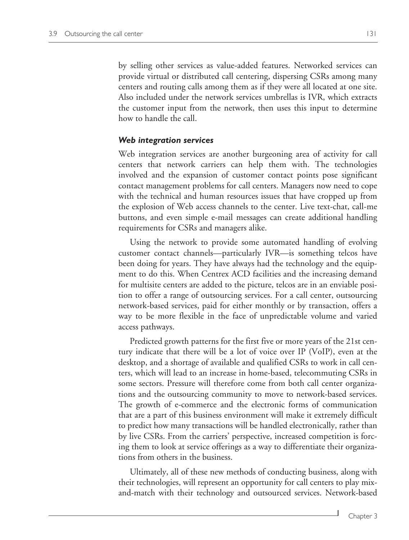by selling other services as value-added features. Networked services can provide virtual or distributed call centering, dispersing CSRs among many centers and routing calls among them as if they were all located at one site. Also included under the network services umbrellas is IVR, which extracts the customer input from the network, then uses this input to determine how to handle the call.

### *Web integration services*

Web integration services are another burgeoning area of activity for call centers that network carriers can help them with. The technologies involved and the expansion of customer contact points pose significant contact management problems for call centers. Managers now need to cope with the technical and human resources issues that have cropped up from the explosion of Web access channels to the center. Live text-chat, call-me buttons, and even simple e-mail messages can create additional handling requirements for CSRs and managers alike.

Using the network to provide some automated handling of evolving customer contact channels—particularly IVR—is something telcos have been doing for years. They have always had the technology and the equipment to do this. When Centrex ACD facilities and the increasing demand for multisite centers are added to the picture, telcos are in an enviable position to offer a range of outsourcing services. For a call center, outsourcing network-based services, paid for either monthly or by transaction, offers a way to be more flexible in the face of unpredictable volume and varied access pathways.

Predicted growth patterns for the first five or more years of the 21st century indicate that there will be a lot of voice over IP (VoIP), even at the desktop, and a shortage of available and qualified CSRs to work in call centers, which will lead to an increase in home-based, telecommuting CSRs in some sectors. Pressure will therefore come from both call center organizations and the outsourcing community to move to network-based services. The growth of e-commerce and the electronic forms of communication that are a part of this business environment will make it extremely difficult to predict how many transactions will be handled electronically, rather than by live CSRs. From the carriers' perspective, increased competition is forcing them to look at service offerings as a way to differentiate their organizations from others in the business.

Ultimately, all of these new methods of conducting business, along with their technologies, will represent an opportunity for call centers to play mixand-match with their technology and outsourced services. Network-based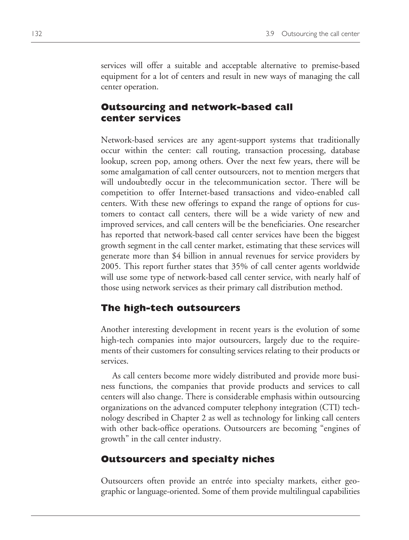services will offer a suitable and acceptable alternative to premise-based equipment for a lot of centers and result in new ways of managing the call center operation.

# **Outsourcing and network-based call center services**

Network-based services are any agent-support systems that traditionally occur within the center: call routing, transaction processing, database lookup, screen pop, among others. Over the next few years, there will be some amalgamation of call center outsourcers, not to mention mergers that will undoubtedly occur in the telecommunication sector. There will be competition to offer Internet-based transactions and video-enabled call centers. With these new offerings to expand the range of options for customers to contact call centers, there will be a wide variety of new and improved services, and call centers will be the beneficiaries. One researcher has reported that network-based call center services have been the biggest growth segment in the call center market, estimating that these services will generate more than \$4 billion in annual revenues for service providers by 2005. This report further states that 35% of call center agents worldwide will use some type of network-based call center service, with nearly half of those using network services as their primary call distribution method.

# **The high-tech outsourcers**

Another interesting development in recent years is the evolution of some high-tech companies into major outsourcers, largely due to the requirements of their customers for consulting services relating to their products or services.

As call centers become more widely distributed and provide more business functions, the companies that provide products and services to call centers will also change. There is considerable emphasis within outsourcing organizations on the advanced computer telephony integration (CTI) technology described in Chapter 2 as well as technology for linking call centers with other back-office operations. Outsourcers are becoming "engines of growth" in the call center industry.

## **Outsourcers and specialty niches**

Outsourcers often provide an entrée into specialty markets, either geographic or language-oriented. Some of them provide multilingual capabilities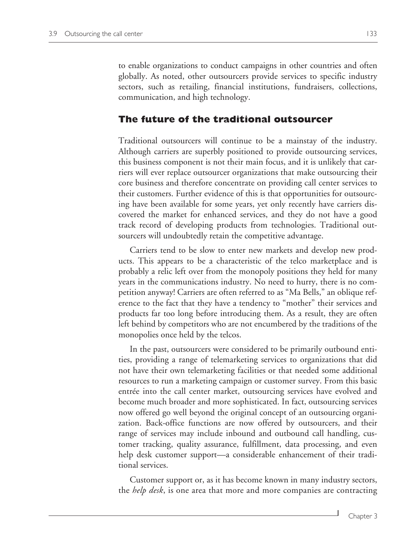to enable organizations to conduct campaigns in other countries and often globally. As noted, other outsourcers provide services to specific industry sectors, such as retailing, financial institutions, fundraisers, collections, communication, and high technology.

## **The future of the traditional outsourcer**

Traditional outsourcers will continue to be a mainstay of the industry. Although carriers are superbly positioned to provide outsourcing services, this business component is not their main focus, and it is unlikely that carriers will ever replace outsourcer organizations that make outsourcing their core business and therefore concentrate on providing call center services to their customers. Further evidence of this is that opportunities for outsourcing have been available for some years, yet only recently have carriers discovered the market for enhanced services, and they do not have a good track record of developing products from technologies. Traditional outsourcers will undoubtedly retain the competitive advantage.

Carriers tend to be slow to enter new markets and develop new products. This appears to be a characteristic of the telco marketplace and is probably a relic left over from the monopoly positions they held for many years in the communications industry. No need to hurry, there is no competition anyway! Carriers are often referred to as "Ma Bells," an oblique reference to the fact that they have a tendency to "mother" their services and products far too long before introducing them. As a result, they are often left behind by competitors who are not encumbered by the traditions of the monopolies once held by the telcos.

In the past, outsourcers were considered to be primarily outbound entities, providing a range of telemarketing services to organizations that did not have their own telemarketing facilities or that needed some additional resources to run a marketing campaign or customer survey. From this basic entrée into the call center market, outsourcing services have evolved and become much broader and more sophisticated. In fact, outsourcing services now offered go well beyond the original concept of an outsourcing organization. Back-office functions are now offered by outsourcers, and their range of services may include inbound and outbound call handling, customer tracking, quality assurance, fulfillment, data processing, and even help desk customer support—a considerable enhancement of their traditional services.

Customer support or, as it has become known in many industry sectors, the *help desk*, is one area that more and more companies are contracting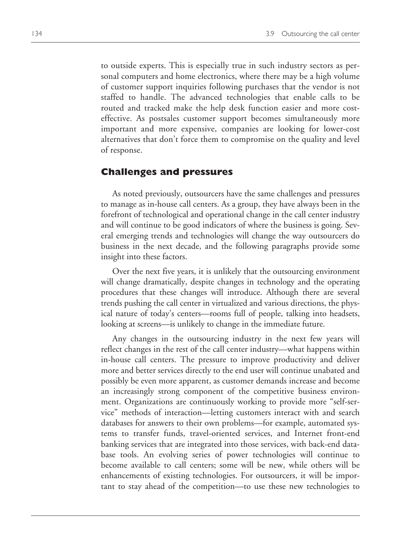to outside experts. This is especially true in such industry sectors as personal computers and home electronics, where there may be a high volume of customer support inquiries following purchases that the vendor is not staffed to handle. The advanced technologies that enable calls to be routed and tracked make the help desk function easier and more costeffective. As postsales customer support becomes simultaneously more important and more expensive, companies are looking for lower-cost alternatives that don't force them to compromise on the quality and level of response.

## **Challenges and pressures**

As noted previously, outsourcers have the same challenges and pressures to manage as in-house call centers. As a group, they have always been in the forefront of technological and operational change in the call center industry and will continue to be good indicators of where the business is going. Several emerging trends and technologies will change the way outsourcers do business in the next decade, and the following paragraphs provide some insight into these factors.

Over the next five years, it is unlikely that the outsourcing environment will change dramatically, despite changes in technology and the operating procedures that these changes will introduce. Although there are several trends pushing the call center in virtualized and various directions, the physical nature of today's centers—rooms full of people, talking into headsets, looking at screens—is unlikely to change in the immediate future.

Any changes in the outsourcing industry in the next few years will reflect changes in the rest of the call center industry—what happens within in-house call centers. The pressure to improve productivity and deliver more and better services directly to the end user will continue unabated and possibly be even more apparent, as customer demands increase and become an increasingly strong component of the competitive business environment. Organizations are continuously working to provide more "self-service" methods of interaction—letting customers interact with and search databases for answers to their own problems—for example, automated systems to transfer funds, travel-oriented services, and Internet front-end banking services that are integrated into those services, with back-end database tools. An evolving series of power technologies will continue to become available to call centers; some will be new, while others will be enhancements of existing technologies. For outsourcers, it will be important to stay ahead of the competition—to use these new technologies to